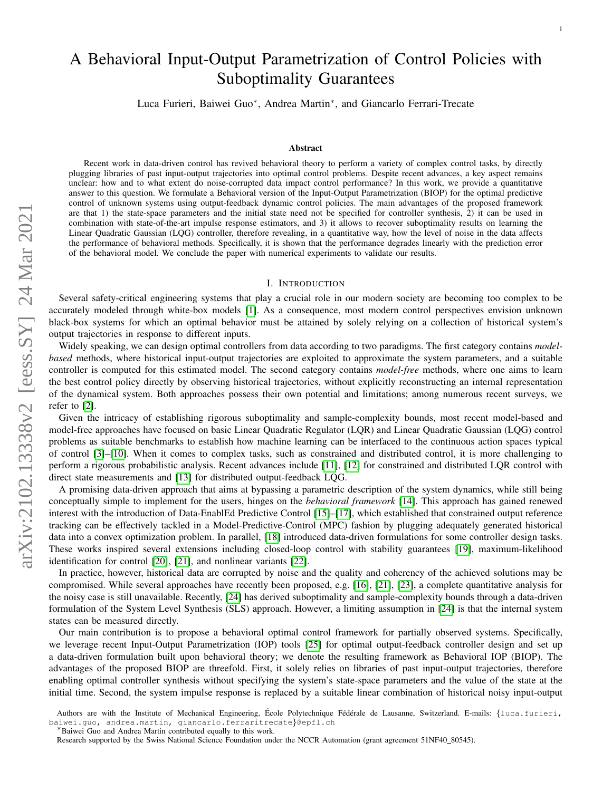# A Behavioral Input-Output Parametrization of Control Policies with Suboptimality Guarantees

Luca Furieri, Baiwei Guo<sup>∗</sup> , Andrea Martin<sup>∗</sup> , and Giancarlo Ferrari-Trecate

#### Abstract

Recent work in data-driven control has revived behavioral theory to perform a variety of complex control tasks, by directly plugging libraries of past input-output trajectories into optimal control problems. Despite recent advances, a key aspect remains unclear: how and to what extent do noise-corrupted data impact control performance? In this work, we provide a quantitative answer to this question. We formulate a Behavioral version of the Input-Output Parametrization (BIOP) for the optimal predictive control of unknown systems using output-feedback dynamic control policies. The main advantages of the proposed framework are that 1) the state-space parameters and the initial state need not be specified for controller synthesis, 2) it can be used in combination with state-of-the-art impulse response estimators, and 3) it allows to recover suboptimality results on learning the Linear Quadratic Gaussian (LQG) controller, therefore revealing, in a quantitative way, how the level of noise in the data affects the performance of behavioral methods. Specifically, it is shown that the performance degrades linearly with the prediction error of the behavioral model. We conclude the paper with numerical experiments to validate our results.

#### I. INTRODUCTION

Several safety-critical engineering systems that play a crucial role in our modern society are becoming too complex to be accurately modeled through white-box models [\[1\]](#page-10-0). As a consequence, most modern control perspectives envision unknown black-box systems for which an optimal behavior must be attained by solely relying on a collection of historical system's output trajectories in response to different inputs.

Widely speaking, we can design optimal controllers from data according to two paradigms. The first category contains *modelbased* methods, where historical input-output trajectories are exploited to approximate the system parameters, and a suitable controller is computed for this estimated model. The second category contains *model-free* methods, where one aims to learn the best control policy directly by observing historical trajectories, without explicitly reconstructing an internal representation of the dynamical system. Both approaches possess their own potential and limitations; among numerous recent surveys, we refer to [\[2\]](#page-10-1).

Given the intricacy of establishing rigorous suboptimality and sample-complexity bounds, most recent model-based and model-free approaches have focused on basic Linear Quadratic Regulator (LQR) and Linear Quadratic Gaussian (LQG) control problems as suitable benchmarks to establish how machine learning can be interfaced to the continuous action spaces typical of control [\[3\]](#page-10-2)–[\[10\]](#page-10-3). When it comes to complex tasks, such as constrained and distributed control, it is more challenging to perform a rigorous probabilistic analysis. Recent advances include [\[11\]](#page-10-4), [\[12\]](#page-10-5) for constrained and distributed LQR control with direct state measurements and [\[13\]](#page-10-6) for distributed output-feedback LQG.

A promising data-driven approach that aims at bypassing a parametric description of the system dynamics, while still being conceptually simple to implement for the users, hinges on the *behavioral framework* [\[14\]](#page-10-7). This approach has gained renewed interest with the introduction of Data-EnablEd Predictive Control [\[15\]](#page-10-8)–[\[17\]](#page-10-9), which established that constrained output reference tracking can be effectively tackled in a Model-Predictive-Control (MPC) fashion by plugging adequately generated historical data into a convex optimization problem. In parallel, [\[18\]](#page-10-10) introduced data-driven formulations for some controller design tasks. These works inspired several extensions including closed-loop control with stability guarantees [\[19\]](#page-10-11), maximum-likelihood identification for control [\[20\]](#page-10-12), [\[21\]](#page-10-13), and nonlinear variants [\[22\]](#page-10-14).

In practice, however, historical data are corrupted by noise and the quality and coherency of the achieved solutions may be compromised. While several approaches have recently been proposed, e.g. [\[16\]](#page-10-15), [\[21\]](#page-10-13), [\[23\]](#page-10-16), a complete quantitative analysis for the noisy case is still unavailable. Recently, [\[24\]](#page-10-17) has derived suboptimality and sample-complexity bounds through a data-driven formulation of the System Level Synthesis (SLS) approach. However, a limiting assumption in [\[24\]](#page-10-17) is that the internal system states can be measured directly.

Our main contribution is to propose a behavioral optimal control framework for partially observed systems. Specifically, we leverage recent Input-Output Parametrization (IOP) tools [\[25\]](#page-10-18) for optimal output-feedback controller design and set up a data-driven formulation built upon behavioral theory; we denote the resulting framework as Behavioral IOP (BIOP). The advantages of the proposed BIOP are threefold. First, it solely relies on libraries of past input-output trajectories, therefore enabling optimal controller synthesis without specifying the system's state-space parameters and the value of the state at the initial time. Second, the system impulse response is replaced by a suitable linear combination of historical noisy input-output

Authors are with the Institute of Mechanical Engineering, École Polytechnique Fédérale de Lausanne, Switzerland. E-mails: {luca.furieri, baiwei.guo, andrea.martin, giancarlo.ferraritrecate}@epfl.ch

<sup>∗</sup>Baiwei Guo and Andrea Martin contributed equally to this work.

Research supported by the Swiss National Science Foundation under the NCCR Automation (grant agreement 51NF40\_80545).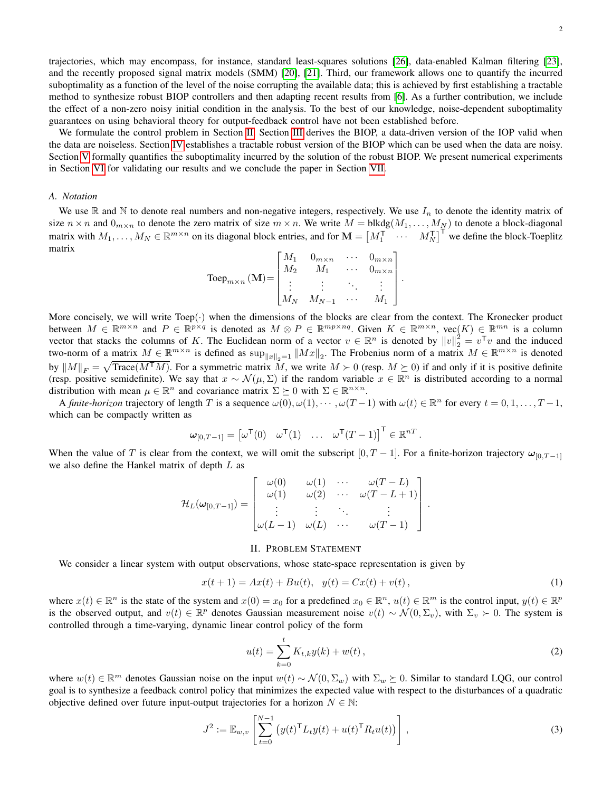trajectories, which may encompass, for instance, standard least-squares solutions [\[26\]](#page-10-19), data-enabled Kalman filtering [\[23\]](#page-10-16), and the recently proposed signal matrix models (SMM) [\[20\]](#page-10-12), [\[21\]](#page-10-13). Third, our framework allows one to quantify the incurred suboptimality as a function of the level of the noise corrupting the available data; this is achieved by first establishing a tractable method to synthesize robust BIOP controllers and then adapting recent results from [\[6\]](#page-10-20). As a further contribution, we include the effect of a non-zero noisy initial condition in the analysis. To the best of our knowledge, noise-dependent suboptimality guarantees on using behavioral theory for output-feedback control have not been established before.

We formulate the control problem in Section [II.](#page-1-0) Section [III](#page-4-0) derives the BIOP, a data-driven version of the IOP valid when the data are noiseless. Section [IV](#page-5-0) establishes a tractable robust version of the BIOP which can be used when the data are noisy. Section [V](#page-7-0) formally quantifies the suboptimality incurred by the solution of the robust BIOP. We present numerical experiments in Section [VI](#page-8-0) for validating our results and we conclude the paper in Section [VII.](#page-9-0)

## *A. Notation*

We use  $\mathbb R$  and  $\mathbb N$  to denote real numbers and non-negative integers, respectively. We use  $I_n$  to denote the identity matrix of size  $n \times n$  and  $0_{m \times n}$  to denote the zero matrix of size  $m \times n$ . We write  $M = \text{blkdg}(M_1, \ldots, M_N)$  to denote a block-diagonal matrix with  $M_1, \ldots, M_N \in \mathbb{R}^{m \times n}$  on its diagonal block entries, and for  $\mathbf{M} = \begin{bmatrix} M_1^{\mathsf{T}} & \cdots & M_N^{\mathsf{T}} \end{bmatrix}^{\mathsf{T}}$  we define the block-Toeplitz matrix

$$
\text{Toep}_{m \times n}(\mathbf{M}) = \begin{bmatrix} M_1 & 0_{m \times n} & \cdots & 0_{m \times n} \\ M_2 & M_1 & \cdots & 0_{m \times n} \\ \vdots & \vdots & \ddots & \vdots \\ M_N & M_{N-1} & \cdots & M_1 \end{bmatrix}.
$$

More concisely, we will write Toep(·) when the dimensions of the blocks are clear from the context. The Kronecker product between  $M \in \mathbb{R}^{m \times n}$  and  $P \in \mathbb{R}^{p \times q}$  is denoted as  $M \otimes P \in \mathbb{R}^{mp \times n}$ . Given  $K \in \mathbb{R}^{m \times n}$ ,  $\text{vec}(K) \in \mathbb{R}^{mn}$  is a column vector that stacks the columns of K. The Euclidean norm of a vector  $v \in \mathbb{R}^n$  is denoted by  $||v||_2^2 = v^{\mathsf{T}}v$  and the induced two-norm of a matrix  $M \in \mathbb{R}^{m \times n}$  is defined as  $\sup_{\|x\|_2=1} \|Mx\|_2$ . The Frobenius norm of a matrix  $M \in \mathbb{R}^{m \times n}$  is denoted by  $||M||_F = \sqrt{\text{Trace}(M^{\text{T}}M)}$ . For a symmetric matrix M, we write  $M \succ 0$  (resp.  $M \succeq 0$ ) if and only if it is positive definite (resp. positive semidefinite). We say that  $x \sim \mathcal{N}(\mu, \Sigma)$  if the random variable  $x \in \mathbb{R}^n$  is distributed according to a normal distribution with mean  $\mu \in \mathbb{R}^n$  and covariance matrix  $\Sigma \succeq 0$  with  $\Sigma \in \mathbb{R}^{n \times n}$ .

A *finite-horizon* trajectory of length T is a sequence  $\omega(0), \omega(1), \cdots, \omega(T-1)$  with  $\omega(t) \in \mathbb{R}^n$  for every  $t = 0, 1, \ldots, T-1$ , which can be compactly written as

$$
\boldsymbol{\omega}_{[0,T-1]} = \begin{bmatrix} \omega^{\mathsf{T}}(0) & \omega^{\mathsf{T}}(1) & \dots & \omega^{\mathsf{T}}(T-1) \end{bmatrix}^{\mathsf{T}} \in \mathbb{R}^{nT}.
$$

When the value of T is clear from the context, we will omit the subscript  $[0, T - 1]$ . For a finite-horizon trajectory  $\omega_{[0, T-1]}$ we also define the Hankel matrix of depth L as

$$
\mathcal{H}_L(\omega_{[0,T-1]}) = \begin{bmatrix} \omega(0) & \omega(1) & \cdots & \omega(T-L) \\ \omega(1) & \omega(2) & \cdots & \omega(T-L+1) \\ \vdots & \vdots & \ddots & \vdots \\ \omega(L-1) & \omega(L) & \cdots & \omega(T-1) \end{bmatrix}
$$

#### II. PROBLEM STATEMENT

<span id="page-1-0"></span>We consider a linear system with output observations, whose state-space representation is given by

<span id="page-1-2"></span>
$$
x(t+1) = Ax(t) + Bu(t), \quad y(t) = Cx(t) + v(t), \tag{1}
$$

where  $x(t) \in \mathbb{R}^n$  is the state of the system and  $x(0) = x_0$  for a predefined  $x_0 \in \mathbb{R}^n$ ,  $u(t) \in \mathbb{R}^m$  is the control input,  $y(t) \in \mathbb{R}^p$ is the observed output, and  $v(t) \in \mathbb{R}^p$  denotes Gaussian measurement noise  $v(t) \sim \mathcal{N}(0, \Sigma_v)$ , with  $\Sigma_v \succ 0$ . The system is controlled through a time-varying, dynamic linear control policy of the form

<span id="page-1-3"></span>
$$
u(t) = \sum_{k=0}^{t} K_{t,k} y(k) + w(t),
$$
\n(2)

.

where  $w(t) \in \mathbb{R}^m$  denotes Gaussian noise on the input  $w(t) \sim \mathcal{N}(0, \Sigma_w)$  with  $\Sigma_w \succeq 0$ . Similar to standard LQG, our control goal is to synthesize a feedback control policy that minimizes the expected value with respect to the disturbances of a quadratic objective defined over future input-output trajectories for a horizon  $N \in \mathbb{N}$ :

<span id="page-1-1"></span>
$$
J^{2} := \mathbb{E}_{w,v} \left[ \sum_{t=0}^{N-1} \left( y(t)^{\mathsf{T}} L_{t} y(t) + u(t)^{\mathsf{T}} R_{t} u(t) \right) \right],
$$
\n(3)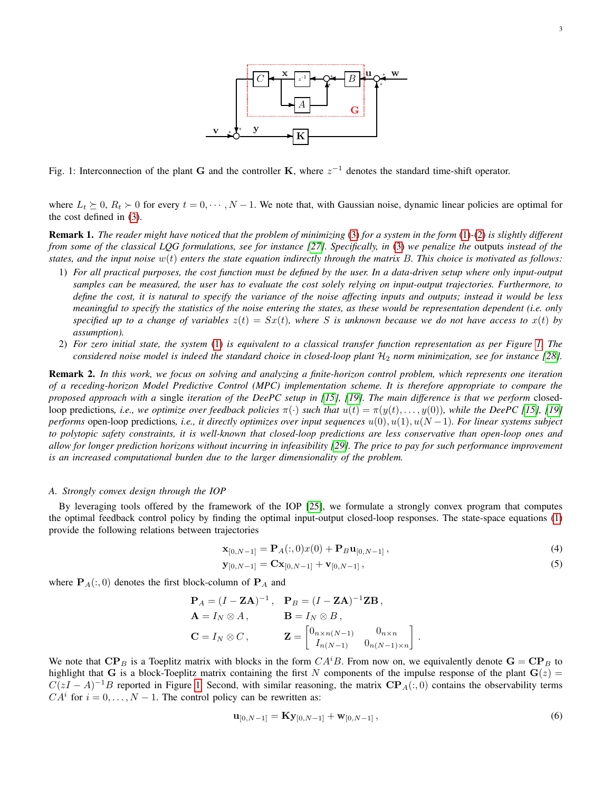

<span id="page-2-0"></span>Fig. 1: Interconnection of the plant G and the controller K, where  $z^{-1}$  denotes the standard time-shift operator.

where  $L_t \succeq 0$ ,  $R_t \succ 0$  for every  $t = 0, \dots, N - 1$ . We note that, with Gaussian noise, dynamic linear policies are optimal for the cost defined in [\(3\)](#page-1-1).

Remark 1. *The reader might have noticed that the problem of minimizing* [\(3\)](#page-1-1) *for a system in the form* [\(1\)](#page-1-2)*-*[\(2\)](#page-1-3) *is slightly different from some of the classical LQG formulations, see for instance [\[27\]](#page-10-21). Specifically, in* [\(3\)](#page-1-1) *we penalize the* outputs *instead of the states, and the input noise* w(t) *enters the state equation indirectly through the matrix* B*. This choice is motivated as follows:*

- 1) *For all practical purposes, the cost function must be defined by the user. In a data-driven setup where only input-output samples can be measured, the user has to evaluate the cost solely relying on input-output trajectories. Furthermore, to define the cost, it is natural to specify the variance of the noise affecting inputs and outputs; instead it would be less meaningful to specify the statistics of the noise entering the states, as these would be representation dependent (i.e. only* specified up to a change of variables  $z(t) = Sx(t)$ , where S is unknown because we do not have access to  $x(t)$  by *assumption).*
- 2) *For zero initial state, the system* [\(1\)](#page-1-2) *is equivalent to a classical transfer function representation as per Figure [1.](#page-2-0) The considered noise model is indeed the standard choice in closed-loop plant*  $H_2$  *norm minimization, see for instance* [\[28\]](#page-10-22)*.*

Remark 2. *In this work, we focus on solving and analyzing a finite-horizon control problem, which represents one iteration of a receding-horizon Model Predictive Control (MPC) implementation scheme. It is therefore appropriate to compare the proposed approach with a* single *iteration of the DeePC setup in [\[15\]](#page-10-8), [\[19\]](#page-10-11). The main difference is that we perform* closedloop predictions, *i.e., we optimize over feedback policies*  $\pi(\cdot)$  *such that*  $u(t) = \pi(y(t), \ldots, y(0))$ *, while the DeePC* [\[15\]](#page-10-8), [\[19\]](#page-10-11) *performs* open-loop predictions, *i.e., it directly optimizes over input sequences*  $u(0), u(1), u(N−1)$ *. For linear systems subject to polytopic safety constraints, it is well-known that closed-loop predictions are less conservative than open-loop ones and* allow for longer prediction horizons without incurring in infeasibility [\[29\]](#page-10-23). The price to pay for such performance improvement *is an increased computational burden due to the larger dimensionality of the problem.*

#### *A. Strongly convex design through the IOP*

By leveraging tools offered by the framework of the IOP [\[25\]](#page-10-18), we formulate a strongly convex program that computes the optimal feedback control policy by finding the optimal input-output closed-loop responses. The state-space equations [\(1\)](#page-1-2) provide the following relations between trajectories

<span id="page-2-3"></span><span id="page-2-2"></span>
$$
\mathbf{x}_{[0,N-1]} = \mathbf{P}_A(:,0)x(0) + \mathbf{P}_B \mathbf{u}_{[0,N-1]},
$$
\n(4)

$$
\mathbf{y}_{[0,N-1]} = \mathbf{C} \mathbf{x}_{[0,N-1]} + \mathbf{v}_{[0,N-1]},
$$
\n(5)

where  $P_A(:, 0)$  denotes the first block-column of  $P_A$  and

$$
\mathbf{P}_A = (I - \mathbf{Z}\mathbf{A})^{-1}, \quad \mathbf{P}_B = (I - \mathbf{Z}\mathbf{A})^{-1}\mathbf{Z}\mathbf{B},
$$

$$
\mathbf{A} = I_N \otimes A, \qquad \qquad \mathbf{B} = I_N \otimes B,
$$

$$
\mathbf{C} = I_N \otimes C, \qquad \qquad \mathbf{Z} = \begin{bmatrix} 0_{n \times n(N-1)} & 0_{n \times n} \\ I_{n(N-1)} & 0_{n(N-1) \times n} \end{bmatrix}.
$$

We note that  $\mathbf{CP}_B$  is a Toeplitz matrix with blocks in the form  $CA^iB$ . From now on, we equivalently denote  $\mathbf{G} = \mathbf{CP}_B$  to highlight that G is a block-Toeplitz matrix containing the first N components of the impulse response of the plant  $G(z)$  =  $C(zI - A)^{-1}B$  reported in Figure [1.](#page-2-0) Second, with similar reasoning, the matrix  $\mathbf{CP}_A(:,0)$  contains the observability terms  $CA<sup>i</sup>$  for  $i = 0, ..., N - 1$ . The control policy can be rewritten as:

<span id="page-2-1"></span>
$$
\mathbf{u}_{[0,N-1]} = \mathbf{K} \mathbf{y}_{[0,N-1]} + \mathbf{w}_{[0,N-1]},
$$
\n(6)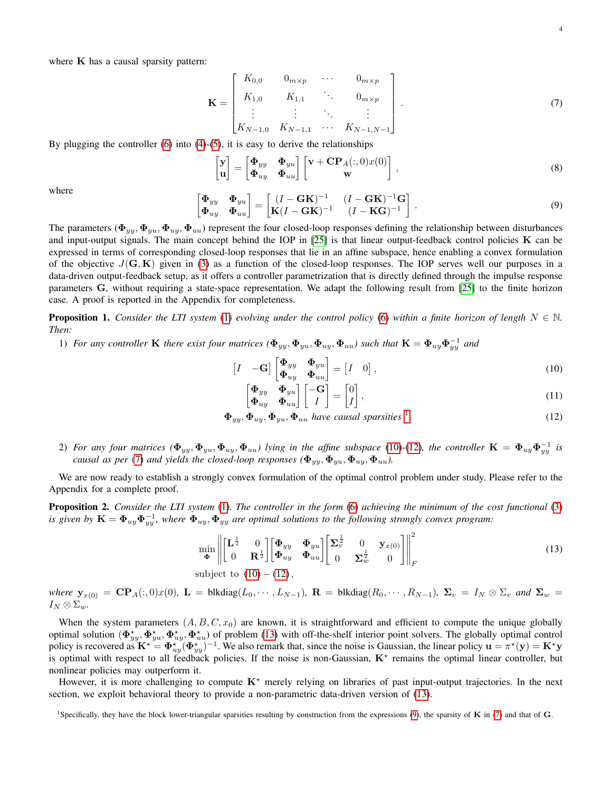where  $K$  has a causal sparsity pattern:

<span id="page-3-3"></span>
$$
\mathbf{K} = \begin{bmatrix} K_{0,0} & 0_{m \times p} & \cdots & 0_{m \times p} \\ K_{1,0} & K_{1,1} & \ddots & 0_{m \times p} \\ \vdots & \vdots & \ddots & \vdots \\ K_{N-1,0} & K_{N-1,1} & \cdots & K_{N-1,N-1} \end{bmatrix} .
$$
 (7)

By plugging the controller  $(6)$  into  $(4)-(5)$  $(4)-(5)$  $(4)-(5)$ , it is easy to derive the relationships

$$
\begin{bmatrix} \mathbf{y} \\ \mathbf{u} \end{bmatrix} = \begin{bmatrix} \mathbf{\Phi}_{yy} & \mathbf{\Phi}_{yu} \\ \mathbf{\Phi}_{uy} & \mathbf{\Phi}_{uu} \end{bmatrix} \begin{bmatrix} \mathbf{v} + \mathbf{C} \mathbf{P}_A(:,0) x(0) \\ \mathbf{w} \end{bmatrix},
$$
\n(8)

where

<span id="page-3-5"></span>
$$
\begin{bmatrix} \mathbf{\Phi}_{yy} & \mathbf{\Phi}_{yu} \\ \mathbf{\Phi}_{uy} & \mathbf{\Phi}_{uu} \end{bmatrix} = \begin{bmatrix} (I - \mathbf{G}\mathbf{K})^{-1} & (I - \mathbf{G}\mathbf{K})^{-1}\mathbf{G} \\ \mathbf{K}(I - \mathbf{G}\mathbf{K})^{-1} & (I - \mathbf{K}\mathbf{G})^{-1} \end{bmatrix}.
$$
\n(9)

The parameters ( $\Phi_{yy}, \Phi_{yy}, \Phi_{uy}, \Phi_{uu}$ ) represent the four closed-loop responses defining the relationship between disturbances and input-output signals. The main concept behind the IOP in  $[25]$  is that linear output-feedback control policies  $K$  can be expressed in terms of corresponding closed-loop responses that lie in an affine subspace, hence enabling a convex formulation of the objective  $J(G, K)$  given in [\(3\)](#page-1-1) as a function of the closed-loop responses. The IOP serves well our purposes in a data-driven output-feedback setup, as it offers a controller parametrization that is directly defined through the impulse response parameters G, without requiring a state-space representation. We adapt the following result from [\[25\]](#page-10-18) to the finite horizon case. A proof is reported in the Appendix for completeness.

<span id="page-3-7"></span>**Proposition 1.** Consider the LTI system [\(1\)](#page-1-2) evolving under the control policy [\(6\)](#page-2-1) within a finite horizon of length  $N \in \mathbb{N}$ . *Then:*

1) *For any controller* **K** *there exist four matrices*  $(\Phi_{yy}, \Phi_{yu}, \Phi_{uy}, \Phi_{uu})$  *such that*  $\mathbf{K} = \Phi_{uy} \Phi_{yy}^{-1}$  *and* 

$$
\begin{bmatrix} I & -\mathbf{G} \end{bmatrix} \begin{bmatrix} \mathbf{\Phi}_{yy} & \mathbf{\Phi}_{yu} \\ \mathbf{\Phi}_{uy} & \mathbf{\Phi}_{uu} \end{bmatrix} = \begin{bmatrix} I & 0 \end{bmatrix},\tag{10}
$$

<span id="page-3-6"></span><span id="page-3-4"></span><span id="page-3-2"></span><span id="page-3-1"></span>
$$
\begin{bmatrix} \mathbf{\Phi}_{yy} & \mathbf{\Phi}_{yu} \\ \mathbf{\Phi}_{uy} & \mathbf{\Phi}_{uu} \end{bmatrix} \begin{bmatrix} -\mathbf{G} \\ I \end{bmatrix} = \begin{bmatrix} 0 \\ I \end{bmatrix}, \tag{11}
$$

$$
\Phi_{yy}, \Phi_{uy}, \Phi_{yu}, \Phi_{uu} \text{ have causal sparsities }^1. \tag{12}
$$

2) For any four matrices  $(\Phi_{yy}, \Phi_{yu}, \Phi_{uy}, \Phi_{uu})$  lying in the affine subspace [\(10\)](#page-3-1)-[\(12\)](#page-3-2), the controller  $K = \Phi_{uy}\Phi_{yy}^{-1}$  is *causal as per* [\(7\)](#page-3-3) *and yields the closed-loop responses* ( $\Phi_{yy}, \Phi_{uu}, \Phi_{uu}$ ).

We are now ready to establish a strongly convex formulation of the optimal control problem under study. Please refer to the Appendix for a complete proof.

<span id="page-3-8"></span>Proposition 2. *Consider the LTI system* [\(1\)](#page-1-2)*. The controller in the form* [\(6\)](#page-2-1) *achieving the minimum of the cost functional* [\(3\)](#page-1-1) *is given by*  $K = \Phi_{uy} \Phi_{yy}^{-1}$ , where  $\Phi_{uy}$ ,  $\Phi_{yy}$  are optimal solutions to the following strongly convex program:

$$
\min_{\mathbf{\Phi}} \left\| \begin{bmatrix} \mathbf{L}^{\frac{1}{2}} & 0 \\ 0 & \mathbf{R}^{\frac{1}{2}} \end{bmatrix} \begin{bmatrix} \mathbf{\Phi}_{yy} & \mathbf{\Phi}_{yu} \\ \mathbf{\Phi}_{uy} & \mathbf{\Phi}_{uu} \end{bmatrix} \begin{bmatrix} \Sigma_v^{\frac{1}{2}} & 0 & \mathbf{y}_{x(0)} \\ 0 & \Sigma_w^{\frac{1}{2}} & 0 \end{bmatrix} \right\|_F^2
$$
(13)

subject to 
$$
(10) - (12)
$$
,

*where*  $\mathbf{y}_{x(0)} = \mathbf{CP}_A(:,0)x(0)$ ,  $\mathbf{L} = \text{blkdiag}(L_0, \dots, L_{N-1})$ ,  $\mathbf{R} = \text{blkdiag}(R_0, \dots, R_{N-1})$ ,  $\mathbf{\Sigma}_v = I_N \otimes \Sigma_v$  *and*  $\mathbf{\Sigma}_w =$  $I_N \otimes \Sigma_w$ .

When the system parameters  $(A, B, C, x_0)$  are known, it is straightforward and efficient to compute the unique globally optimal solution  $(\Phi_{yy}^*, \Phi_{yy}^*, \Phi_{uy}^*, \Phi_{uu}^*)$  of problem [\(13\)](#page-3-4) with off-the-shelf interior point solvers. The globally optimal control policy is recovered as  $\mathbf{K}^* = \Phi_{uy}^*(\Phi_{yy}^*)^{-1}$ . We also remark that, since the noise is Gaussian, the linear policy  $\mathbf{u} = \pi^*(\mathbf{y}) = \mathbf{K}^*\mathbf{y}$ is optimal with respect to all feedback policies. If the noise is non-Gaussian,  $K^*$  remains the optimal linear controller, but nonlinear policies may outperform it.

However, it is more challenging to compute  $K^*$  merely relying on libraries of past input-output trajectories. In the next section, we exploit behavioral theory to provide a non-parametric data-driven version of [\(13\)](#page-3-4).

<span id="page-3-0"></span><sup>&</sup>lt;sup>1</sup>Specifically, they have the block lower-triangular sparsities resulting by construction from the expressions [\(9\)](#page-3-5), the sparsity of **K** in [\(7\)](#page-3-3) and that of **G**.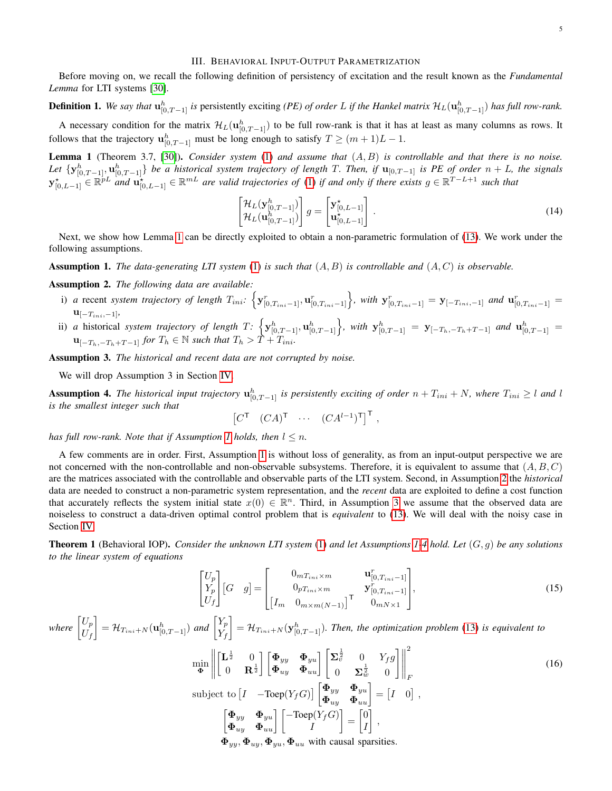### III. BEHAVIORAL INPUT-OUTPUT PARAMETRIZATION

<span id="page-4-0"></span>Before moving on, we recall the following definition of persistency of excitation and the result known as the *Fundamental Lemma* for LTI systems [\[30\]](#page-10-24).

# **Definition 1.** We say that  $\mathbf{u}_{[0,T-1]}^h$  is persistently exciting *(PE) of order* L if the Hankel matrix  $\mathcal{H}_L(\mathbf{u}_{[0,T-1]}^h)$  has full row-rank.

A necessary condition for the matrix  $\mathcal{H}_L(\mathbf{u}_{[0,T-1]}^h)$  to be full row-rank is that it has at least as many columns as rows. It follows that the trajectory  $\mathbf{u}_{[0,T-1]}^h$  must be long enough to satisfy  $T \ge (m+1)L - 1$ .

<span id="page-4-1"></span>Lemma 1 (Theorem 3.7, [\[30\]](#page-10-24)). *Consider system* [\(1\)](#page-1-2) *and assume that* (A, B) *is controllable and that there is no noise.* Let  $\{y_{[0,T-1]}^h, u_{[0,T-1]}^h\}$  be a historical system trajectory of length T. Then, if  $u_{[0,T-1]}$  is PE of order  $n + L$ , the signals  $\mathbf{y}_{[0,L-1]}^{\star} \in \mathbb{R}^{p}$  *and*  $\mathbf{u}_{[0,L-1]}^{\star} \in \mathbb{R}^{m}$  *are valid trajectories of* [\(1\)](#page-1-2) *if and only if there exists*  $g \in \mathbb{R}^{T-L+1}$  *such that* 

<span id="page-4-7"></span>
$$
\begin{bmatrix} \mathcal{H}_L(\mathbf{y}_{[0,T-1]}^h) \\ \mathcal{H}_L(\mathbf{u}_{[0,T-1]}^h) \end{bmatrix} g = \begin{bmatrix} \mathbf{y}_{[0,L-1]}^{\star} \\ \mathbf{u}_{[0,L-1]}^{\star} \end{bmatrix} .
$$
\n(14)

Next, we show how Lemma [1](#page-4-1) can be directly exploited to obtain a non-parametric formulation of [\(13\)](#page-3-4). We work under the following assumptions.

<span id="page-4-2"></span>Assumption 1. *The data-generating LTI system* [\(1\)](#page-1-2) *is such that* (A, B) *is controllable and* (A, C) *is observable.*

<span id="page-4-3"></span>Assumption 2. *The following data are available:*

- i) *a* recent *system trajectory of length*  $T_{ini}$ :  $\left\{ \mathbf{y}_{[0,T_{ini}-1]}^r, \mathbf{u}_{[0,T_{ini}-1]}^r \right\}$ , with  $\mathbf{y}_{[0,T_{ini}-1]}^r = \mathbf{y}_{[-T_{ini},-1]}$  and  $\mathbf{u}_{[0,T_{ini}-1]}^r =$  $\label{eq:u} \mathbf{u}_{[-T_{ini},-1]},$
- ii) *a* historical *system trajectory of length*  $T: \left\{ \mathbf{y}_{[0,T-1]}^h, \mathbf{u}_{[0,T-1]}^h \right\}$ , with  $\mathbf{y}_{[0,T-1]}^h = \mathbf{y}_{[-T_h,-T_h+T-1]}$  and  $\mathbf{u}_{[0,T-1]}^h =$  $\mathbf{u}_{[-T_h,-T_h+T-1]}$  *for*  $T_h \in \mathbb{N}$  *such that*  $T_h > T + T_{ini}$ *.*

<span id="page-4-4"></span>Assumption 3. *The historical and recent data are not corrupted by noise.*

<span id="page-4-6"></span> $\lceil$  $\overline{1}$ 

We will drop Assumption 3 in Section [IV.](#page-5-0)

<span id="page-4-5"></span>**Assumption 4.** The historical input trajectory  $\mathbf{u}_{[0,T-1]}^h$  is persistently exciting of order  $n + T_{ini} + N$ , where  $T_{ini} \geq l$  and l *is the smallest integer such that*

$$
\begin{bmatrix} C^{\mathsf{T}} & (CA)^{\mathsf{T}} & \cdots & (CA^{l-1})^{\mathsf{T}} \end{bmatrix}^{\mathsf{T}}
$$

*has full row-rank. Note that if Assumption [1](#page-4-2) holds, then*  $l \leq n$ .

A few comments are in order. First, Assumption [1](#page-4-2) is without loss of generality, as from an input-output perspective we are not concerned with the non-controllable and non-observable subsystems. Therefore, it is equivalent to assume that  $(A, B, C)$ are the matrices associated with the controllable and observable parts of the LTI system. Second, in Assumption [2](#page-4-3) the *historical* data are needed to construct a non-parametric system representation, and the *recent* data are exploited to define a cost function that accurately reflects the system initial state  $x(0) \in \mathbb{R}^n$ . Third, in Assumption [3](#page-4-4) we assume that the observed data are noiseless to construct a data-driven optimal control problem that is *equivalent* to [\(13\)](#page-3-4). We will deal with the noisy case in Section [IV.](#page-5-0)

<span id="page-4-8"></span>Theorem 1 (Behavioral IOP). *Consider the unknown LTI system* [\(1\)](#page-1-2) *and let Assumptions [1](#page-4-2)[-4](#page-4-5) hold. Let* (G, g) *be any solutions to the linear system of equations*

$$
\begin{bmatrix} U_p \\ Y_p \\ U_f \end{bmatrix} [G \quad g] = \begin{bmatrix} 0_{mT_{ini} \times m} & \mathbf{u}_{[0, T_{ini} - 1]}^{r} \\ 0_{pT_{ini} \times m} & \mathbf{y}_{[0, T_{ini} - 1]}^{r} \\ \begin{bmatrix} I_m & 0_{m \times m(N-1)} \end{bmatrix}^{\mathsf{T}} & 0_{mN \times 1} \end{bmatrix},\tag{15}
$$

<span id="page-4-9"></span>,

where  $\begin{bmatrix} U_p \\ U_p \end{bmatrix}$  $U_f$  $\mathcal{H}_{T_{ini}+N}(\mathbf{u}^h_{[0,T-1]})$  and  $\begin{bmatrix} Y_p \\ Y_p \end{bmatrix}$  $Y_f$  $\left[1-\mathcal{H}_{T_{ini}+N}(\mathbf{y}_{[0,T-1]}^h)$ . Then, the optimization problem [\(13\)](#page-3-4) is equivalent to

$$
\min_{\mathbf{\Phi}} \left\| \begin{bmatrix} \mathbf{L}^{\frac{1}{2}} & 0 \\ 0 & \mathbf{R}^{\frac{1}{2}} \end{bmatrix} \begin{bmatrix} \mathbf{\Phi}_{yy} & \mathbf{\Phi}_{yu} \\ \mathbf{\Phi}_{uy} & \mathbf{\Phi}_{uu} \end{bmatrix} \begin{bmatrix} \mathbf{\Sigma}_{v}^{\frac{1}{2}} & 0 & Y_{f}g \\ 0 & \mathbf{\Sigma}_{w}^{\frac{1}{2}} & 0 \end{bmatrix} \right\|_{F}^{2}
$$
\nsubject to

\n
$$
\begin{bmatrix} I & -\text{Toep}(Y_{f}G) \end{bmatrix} \begin{bmatrix} \mathbf{\Phi}_{yy} & \mathbf{\Phi}_{yu} \\ \mathbf{\Phi}_{uy} & \mathbf{\Phi}_{uu} \end{bmatrix} = \begin{bmatrix} I & 0 \end{bmatrix},
$$
\n
$$
\begin{bmatrix} \mathbf{\Phi}_{yy} & \mathbf{\Phi}_{yu} \\ \mathbf{\Phi}_{uy} & \mathbf{\Phi}_{uu} \end{bmatrix} \begin{bmatrix} -\text{Toep}(Y_{f}G) \\ I \end{bmatrix} = \begin{bmatrix} 0 \\ I \end{bmatrix},
$$
\n(16)

 $\Phi_{yy}, \Phi_{uu}, \Phi_{uu}, \Phi_{uu}$  with causal sparsities.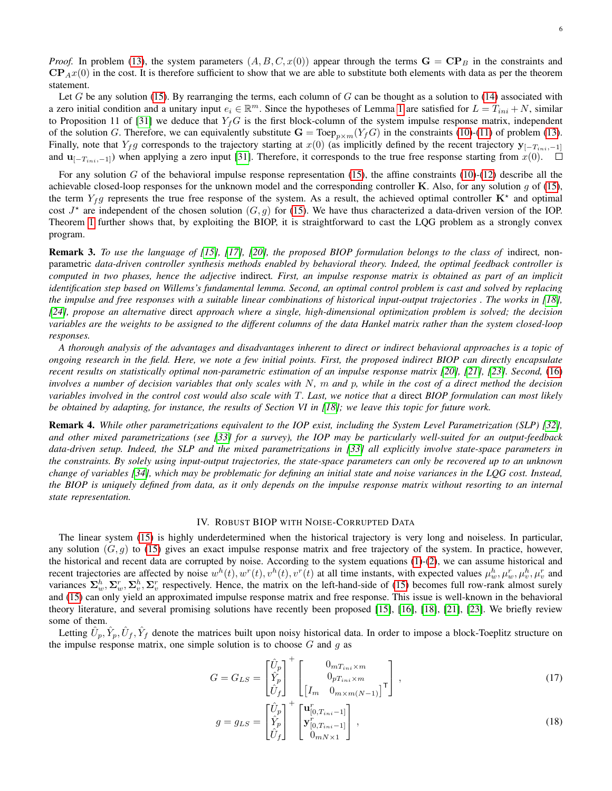*Proof.* In problem [\(13\)](#page-3-4), the system parameters  $(A, B, C, x(0))$  appear through the terms  $\mathbf{G} = \mathbf{CP}_B$  in the constraints and  $\mathbf{CP}_{A}x(0)$  in the cost. It is therefore sufficient to show that we are able to substitute both elements with data as per the theorem statement.

Let G be any solution [\(15\)](#page-4-6). By rearranging the terms, each column of G can be thought as a solution to [\(14\)](#page-4-7) associated with a zero initial condition and a unitary input  $e_i \in \mathbb{R}^m$ . Since the hypotheses of Lemma [1](#page-4-1) are satisfied for  $L = T_{ini} + N$ , similar to Proposition 11 of [\[31\]](#page-10-25) we deduce that  $Y_fG$  is the first block-column of the system impulse response matrix, independent of the solution G. Therefore, we can equivalently substitute  $G = \text{Toep}_{n \times m}(Y_fG)$  in the constraints [\(10\)](#page-3-1)-[\(11\)](#page-3-6) of problem [\(13\)](#page-3-4). Finally, note that  $Y_f g$  corresponds to the trajectory starting at  $x(0)$  (as implicitly defined by the recent trajectory  $y_{[-T_{ini},-1]}$ and  $\mathbf{u}_{[-T_{ini},-1]}$ ) when applying a zero input [\[31\]](#page-10-25). Therefore, it corresponds to the true free response starting from  $x(0)$ . □

For any solution  $G$  of the behavioral impulse response representation [\(15\)](#page-4-6), the affine constraints [\(10\)](#page-3-1)-[\(12\)](#page-3-2) describe all the achievable closed-loop responses for the unknown model and the corresponding controller K. Also, for any solution  $q$  of [\(15\)](#page-4-6), the term  $Y_f g$  represents the true free response of the system. As a result, the achieved optimal controller  $K^*$  and optimal cost  $J^*$  are independent of the chosen solution  $(G, g)$  for [\(15\)](#page-4-6). We have thus characterized a data-driven version of the IOP. Theorem [1](#page-4-8) further shows that, by exploiting the BIOP, it is straightforward to cast the LQG problem as a strongly convex program.

Remark 3. *To use the language of [\[15\]](#page-10-8), [\[17\]](#page-10-9), [\[20\]](#page-10-12), the proposed BIOP formulation belongs to the class of* indirect*,* nonparametric *data-driven controller synthesis methods enabled by behavioral theory. Indeed, the optimal feedback controller is computed in two phases, hence the adjective* indirect*. First, an impulse response matrix is obtained as part of an implicit identification step based on Willems's fundamental lemma. Second, an optimal control problem is cast and solved by replacing the impulse and free responses with a suitable linear combinations of historical input-output trajectories . The works in [\[18\]](#page-10-10), [\[24\]](#page-10-17), propose an alternative* direct *approach where a single, high-dimensional optimization problem is solved; the decision variables are the weights to be assigned to the different columns of the data Hankel matrix rather than the system closed-loop responses.*

*A thorough analysis of the advantages and disadvantages inherent to direct or indirect behavioral approaches is a topic of ongoing research in the field. Here, we note a few initial points. First, the proposed indirect BIOP can directly encapsulate recent results on statistically optimal non-parametric estimation of an impulse response matrix [\[20\]](#page-10-12), [\[21\]](#page-10-13), [\[23\]](#page-10-16). Second,* [\(16\)](#page-4-9) *involves a number of decision variables that only scales with* N*,* m *and* p*, while in the cost of a direct method the decision variables involved in the control cost would also scale with* T*. Last, we notice that a* direct *BIOP formulation can most likely be obtained by adapting, for instance, the results of Section VI in [\[18\]](#page-10-10); we leave this topic for future work.*

Remark 4. *While other parametrizations equivalent to the IOP exist, including the System Level Parametrization (SLP) [\[32\]](#page-10-26), and other mixed parametrizations (see [\[33\]](#page-10-27) for a survey), the IOP may be particularly well-suited for an output-feedback data-driven setup. Indeed, the SLP and the mixed parametrizations in [\[33\]](#page-10-27) all explicitly involve state-space parameters in the constraints. By solely using input-output trajectories, the state-space parameters can only be recovered up to an unknown change of variables [\[34\]](#page-10-28), which may be problematic for defining an initial state and noise variances in the LQG cost. Instead, the BIOP is uniquely defined from data, as it only depends on the impulse response matrix without resorting to an internal state representation.*

# IV. ROBUST BIOP WITH NOISE-CORRUPTED DATA

<span id="page-5-0"></span>The linear system [\(15\)](#page-4-6) is highly underdetermined when the historical trajectory is very long and noiseless. In particular, any solution  $(G, g)$  to [\(15\)](#page-4-6) gives an exact impulse response matrix and free trajectory of the system. In practice, however, the historical and recent data are corrupted by noise. According to the system equations [\(1\)](#page-1-2)-[\(2\)](#page-1-3), we can assume historical and recent trajectories are affected by noise  $w^h(t)$ ,  $w^r(t)$ ,  $v^h(t)$ ,  $v^r(t)$  at all time instants, with expected values  $\mu_w^h$ ,  $\mu_w^r$ ,  $\mu_v^h$ ,  $\mu_v^r$  and variances  $\Sigma_w^h$ ,  $\Sigma_w^r$ ,  $\Sigma_v^h$ ,  $\Sigma_v^r$  respectively. Hence, the matrix on the left-hand-side of [\(15\)](#page-4-6) becomes full row-rank almost surely and [\(15\)](#page-4-6) can only yield an approximated impulse response matrix and free response. This issue is well-known in the behavioral theory literature, and several promising solutions have recently been proposed [\[15\]](#page-10-8), [\[16\]](#page-10-15), [\[18\]](#page-10-10), [\[21\]](#page-10-13), [\[23\]](#page-10-16). We briefly review some of them.

Letting  $\hat{U}_p, \hat{Y}_p, \hat{U}_f, \hat{Y}_f$  denote the matrices built upon noisy historical data. In order to impose a block-Toeplitz structure on the impulse response matrix, one simple solution is to choose  $G$  and  $g$  as

$$
G = G_{LS} = \begin{bmatrix} \hat{U}_p \\ \hat{Y}_p \\ \hat{U}_f \end{bmatrix}^+ \begin{bmatrix} 0_{mT_{ini} \times m} \\ 0_{pT_{ini} \times m} \\ \begin{bmatrix} I_m & 0_{m \times m(N-1)} \end{bmatrix}^{\mathsf{T}} \end{bmatrix},
$$
\n(17)

<span id="page-5-1"></span>
$$
g = g_{LS} = \begin{bmatrix} \hat{U}_p \\ \hat{Y}_p \\ \hat{U}_f \end{bmatrix}^+ \begin{bmatrix} \mathbf{u}_{[0,T_{ini}-1]}^r \\ \mathbf{y}_{[0,T_{ini}-1]}^r \\ 0_{mN \times 1} \end{bmatrix},
$$
(18)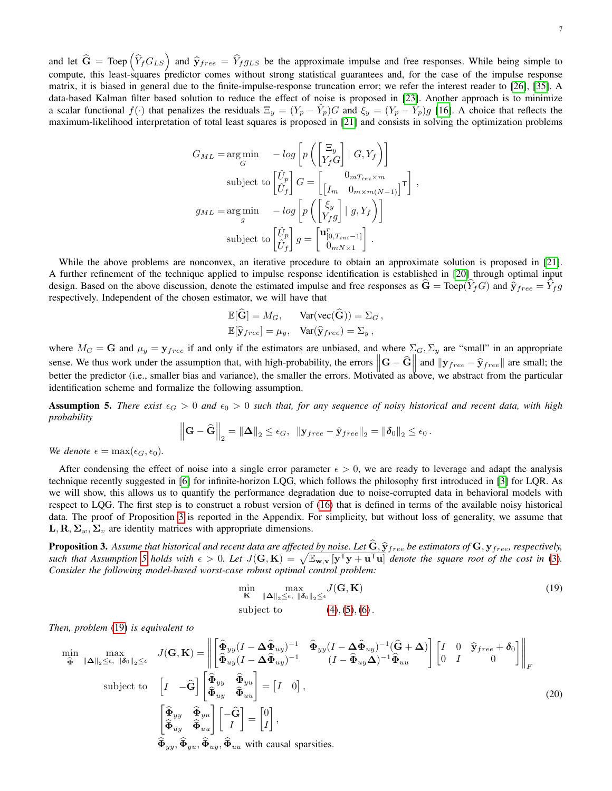and let  $\hat{G}$  = Toep  $(\hat{Y}_f G_{LS})$  and  $\hat{Y}_f re_e = \hat{Y}_f g_{LS}$  be the approximate impulse and free responses. While being simple to compute, this least-squares predictor comes without strong statistical guarantees and, for the case of the impulse response matrix, it is biased in general due to the finite-impulse-response truncation error; we refer the interest reader to [\[26\]](#page-10-19), [\[35\]](#page-10-29). A data-based Kalman filter based solution to reduce the effect of noise is proposed in [\[23\]](#page-10-16). Another approach is to minimize a scalar functional  $f(\cdot)$  that penalizes the residuals  $\Xi_y = (Y_p - \hat{Y}_p)G$  and  $\dot{\xi}_y = (Y_p - \hat{Y}_p)g$  [\[16\]](#page-10-15). A choice that reflects the maximum-likelihood interpretation of total least squares is proposed in [\[21\]](#page-10-13) and consists in solving the optimization problems

$$
G_{ML} = \underset{G}{\arg\min} \quad -\log\left[p\left(\begin{bmatrix} \Xi_y \\ Y_f G \end{bmatrix} \mid G, Y_f\right)\right]
$$
  
\nsubject to 
$$
\begin{bmatrix} \hat{U}_p \\ \hat{U}_f \end{bmatrix} G = \begin{bmatrix} 0_{mT_{ini}\times m} \\ \left[I_m \quad 0_{m\times m(N-1)}\right]^\mathsf{T} \end{bmatrix},
$$
  
\n
$$
g_{ML} = \underset{g}{\arg\min} \quad -\log\left[p\left(\begin{bmatrix} \xi_y \\ Y_f g \end{bmatrix} \mid g, Y_f\right)\right]
$$
  
\nsubject to 
$$
\begin{bmatrix} \hat{U}_p \\ \hat{U}_f \end{bmatrix} g = \begin{bmatrix} \mathbf{u}_{[0, T_{ini} - 1]}^r \\ 0_{mN\times 1} \end{bmatrix}.
$$

While the above problems are nonconvex, an iterative procedure to obtain an approximate solution is proposed in [\[21\]](#page-10-13). A further refinement of the technique applied to impulse response identification is established in [\[20\]](#page-10-12) through optimal input design. Based on the above discussion, denote the estimated impulse and free responses as  $\hat{G} = \text{Toep}(\hat{Y}_f G)$  and  $\hat{y}_{free} = \hat{Y}_f g$ respectively. Independent of the chosen estimator, we will have that

$$
\mathbb{E}[\widehat{\mathbf{G}}] = M_G, \quad \text{Var}(\text{vec}(\widehat{\mathbf{G}})) = \Sigma_G ,
$$
  

$$
\mathbb{E}[\widehat{\mathbf{y}}_{free}] = \mu_y, \quad \text{Var}(\widehat{\mathbf{y}}_{free}) = \Sigma_y ,
$$

where  $M_G = G$  and  $\mu_y = y_{free}$  if and only if the estimators are unbiased, and where  $\Sigma_G$ ,  $\Sigma_y$  are "small" in an appropriate sense. We thus work under the assumption that, with high-probability, the errors  $||\mathbf{G} - \hat{\mathbf{G}}||$  and  $||\mathbf{y}_{free} - \hat{\mathbf{y}}_{free}||$  are small; the better the predictor (i.e., smaller bias and variance), the smaller the errors. Motivated as above, we abstract from the particular identification scheme and formalize the following assumption.

<span id="page-6-1"></span>**Assumption 5.** There exist  $\epsilon_G > 0$  and  $\epsilon_0 > 0$  such that, for any sequence of noisy historical and recent data, with high *probability*

$$
\left\|\mathbf{G}-\widehat{\mathbf{G}}\right\|_2=\left\|\mathbf{\Delta}\right\|_2\leq\epsilon_G,\ \ \left\|\mathbf{y}_{free}-\hat{\mathbf{y}}_{free}\right\|_2=\left\|\pmb{\delta}_0\right\|_2\leq\epsilon_0.
$$

*We denote*  $\epsilon = \max(\epsilon_G, \epsilon_0)$ *.* 

After condensing the effect of noise into a single error parameter  $\epsilon > 0$ , we are ready to leverage and adapt the analysis technique recently suggested in [\[6\]](#page-10-20) for infinite-horizon LQG, which follows the philosophy first introduced in [\[3\]](#page-10-2) for LQR. As we will show, this allows us to quantify the performance degradation due to noise-corrupted data in behavioral models with respect to LQG. The first step is to construct a robust version of [\(16\)](#page-4-9) that is defined in terms of the available noisy historical data. The proof of Proposition [3](#page-6-0) is reported in the Appendix. For simplicity, but without loss of generality, we assume that L, R,  $\Sigma_w$ ,  $\Sigma_v$  are identity matrices with appropriate dimensions.

<span id="page-6-0"></span>**Proposition 3.** Assume that historical and recent data are affected by noise. Let  $G, \hat{y}_{free}$  be estimators of  $G, y_{free}$ , respectively, such that Assumption [5](#page-6-1) holds with  $\epsilon > 0$ . Let  $J(G, K) = \sqrt{\mathbb{E}_{w,v}[y^{\mathsf{T}}y + u^{\mathsf{T}}u]}$  *Consider the following model-based worst-case robust optimal control problem:*

<span id="page-6-2"></span>
$$
\min_{\mathbf{K}} \max_{\|\mathbf{\Delta}\|_2 \le \epsilon, \ \|\boldsymbol{\delta}_0\|_2 \le \epsilon} J(\mathbf{G}, \mathbf{K})
$$
\n
$$
\text{subject to} \qquad (4), (5), (6).
$$
\n
$$
(19)
$$

*Then, problem* [\(19\)](#page-6-2) *is equivalent to*

<span id="page-6-3"></span>
$$
\min_{\mathbf{\hat{\Phi}} \text{ } \|\Delta\|_{2} \leq \epsilon, \|\delta_{0}\|_{2} \leq \epsilon} \quad J(\mathbf{G}, \mathbf{K}) = \left\| \begin{bmatrix} \widehat{\Phi}_{yy}(I - \Delta \widehat{\Phi}_{uy})^{-1} & \widehat{\Phi}_{yy}(I - \Delta \widehat{\Phi}_{uy})^{-1}(\widehat{\mathbf{G}} + \Delta) \\ \widehat{\Phi}_{uy}(I - \Delta \widehat{\Phi}_{uy})^{-1} & (I - \widehat{\Phi}_{uy}\Delta)^{-1}\widehat{\Phi}_{uu} \end{bmatrix} \begin{bmatrix} I & 0 & \widehat{\mathbf{y}}_{free} + \delta_{0} \\ 0 & I & 0 \end{bmatrix} \right\|_{F}
$$
\nsubject to\n
$$
\begin{bmatrix} I & -\widehat{\mathbf{G}} \end{bmatrix} \begin{bmatrix} \widehat{\Phi}_{yy} & \widehat{\Phi}_{yu} \\ \widehat{\Phi}_{uy} & \widehat{\Phi}_{uu} \end{bmatrix} = \begin{bmatrix} I & 0 \end{bmatrix},
$$
\n
$$
\begin{bmatrix} \widehat{\Phi}_{yy} & \widehat{\Phi}_{yu} \\ \widehat{\Phi}_{uy} & \widehat{\Phi}_{uu} \end{bmatrix} \begin{bmatrix} -\widehat{\mathbf{G}} \\ I \end{bmatrix} = \begin{bmatrix} 0 \\ I \end{bmatrix},
$$
\n
$$
\widehat{\Phi}_{yy}, \widehat{\Phi}_{yu}, \widehat{\Phi}_{uu} \text{ with causal sparsities.}
$$
\n(20)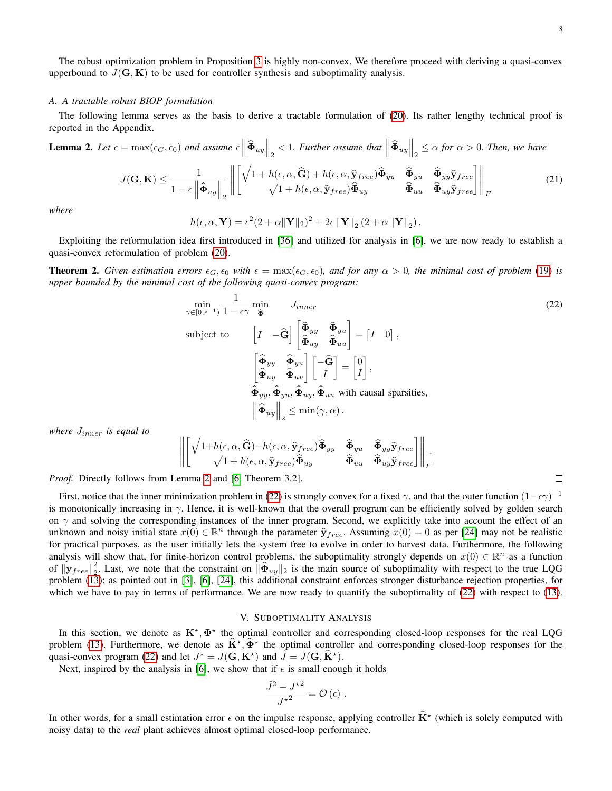The robust optimization problem in Proposition [3](#page-6-0) is highly non-convex. We therefore proceed with deriving a quasi-convex upperbound to  $J(G, K)$  to be used for controller synthesis and suboptimality analysis.

#### *A. A tractable robust BIOP formulation*

The following lemma serves as the basis to derive a tractable formulation of [\(20\)](#page-6-3). Its rather lengthy technical proof is reported in the Appendix.

<span id="page-7-1"></span>**Lemma 2.** Let 
$$
\epsilon = \max(\epsilon_G, \epsilon_0)
$$
 and assume  $\epsilon \left\| \hat{\Phi}_{uy} \right\|_2 < 1$ . Further assume that  $\left\| \hat{\Phi}_{uy} \right\|_2 \leq \alpha$  for  $\alpha > 0$ . Then, we have\n
$$
J(\mathbf{G}, \mathbf{K}) \leq \frac{1}{1 - \epsilon \left\| \hat{\Phi}_{uy} \right\|_2} \left\| \begin{bmatrix} \sqrt{1 + h(\epsilon, \alpha, \hat{\mathbf{G}}) + h(\epsilon, \alpha, \hat{\mathbf{y}}_{free})} \hat{\Phi}_{yy} & \hat{\Phi}_{yu} & \hat{\Phi}_{yy} \hat{\mathbf{y}}_{free} \\ \sqrt{1 + h(\epsilon, \alpha, \hat{\mathbf{y}}_{free})} \hat{\Phi}_{uy} & \hat{\Phi}_{uu} & \hat{\Phi}_{uy} \hat{\mathbf{y}}_{free} \end{bmatrix} \right\|_F
$$
\n(21)

*where*

$$
h(\epsilon, \alpha, \mathbf{Y}) = \epsilon^2 (2 + \alpha ||\mathbf{Y}||_2)^2 + 2\epsilon ||\mathbf{Y}||_2 (2 + \alpha ||\mathbf{Y}||_2).
$$

Exploiting the reformulation idea first introduced in [\[36\]](#page-10-30) and utilized for analysis in [\[6\]](#page-10-20), we are now ready to establish a quasi-convex reformulation of problem [\(20\)](#page-6-3).

<span id="page-7-3"></span>**Theorem 2.** Given estimation errors  $\epsilon_G$ ,  $\epsilon_0$  with  $\epsilon = \max(\epsilon_G, \epsilon_0)$ , and for any  $\alpha > 0$ , the minimal cost of problem [\(19\)](#page-6-2) is *upper bounded by the minimal cost of the following quasi-convex program:*

$$
\min_{\gamma \in [0, \epsilon^{-1})} \frac{1}{1 - \epsilon \gamma} \min_{\mathbf{\hat{\Phi}}} J_{inner}
$$
\n
$$
\text{subject to} \qquad \begin{bmatrix} I & -\hat{\mathbf{G}} \end{bmatrix} \begin{bmatrix} \hat{\mathbf{\Phi}}_{yy} & \hat{\mathbf{\Phi}}_{yu} \\ \hat{\mathbf{\Phi}}_{uy} & \hat{\mathbf{\Phi}}_{uu} \end{bmatrix} = \begin{bmatrix} I & 0 \end{bmatrix},
$$
\n
$$
\begin{bmatrix} \hat{\mathbf{\Phi}}_{yy} & \hat{\mathbf{\Phi}}_{yu} \\ \hat{\mathbf{\Phi}}_{uy} & \hat{\mathbf{\Phi}}_{uu} \end{bmatrix} \begin{bmatrix} -\hat{\mathbf{G}} \\ I \end{bmatrix} = \begin{bmatrix} 0 \\ I \end{bmatrix},
$$
\n
$$
\hat{\mathbf{\Phi}}_{yy}, \hat{\mathbf{\Phi}}_{yu}, \hat{\mathbf{\Phi}}_{uu}, \hat{\mathbf{\Phi}}_{uu} \text{ with causal sparsities},
$$
\n
$$
\left\| \hat{\mathbf{\Phi}}_{uy} \right\|_2 \le \min(\gamma, \alpha).
$$
\n(22)

*where* Jinner *is equal to*

$$
\left\| \begin{bmatrix} \sqrt{1+h(\epsilon,\alpha,\widehat{\mathbf{G}})+h(\epsilon,\alpha,\widehat{\mathbf{y}}_{free})} \widehat{\mathbf{\Phi}}_{yy} & \widehat{\mathbf{\Phi}}_{yu} & \widehat{\mathbf{\Phi}}_{yy} \widehat{\mathbf{y}}_{free} \\ \sqrt{1+h(\epsilon,\alpha,\widehat{\mathbf{y}}_{free})} \widehat{\mathbf{\Phi}}_{uy} & \widehat{\mathbf{\Phi}}_{uu} & \widehat{\mathbf{\Phi}}_{uy} \widehat{\mathbf{y}}_{free} \end{bmatrix} \right\|_{F}
$$

*Proof.* Directly follows from Lemma [2](#page-7-1) and [\[6,](#page-10-20) Theorem 3.2].

First, notice that the inner minimization problem in [\(22\)](#page-7-2) is strongly convex for a fixed  $\gamma$ , and that the outer function  $(1-\epsilon\gamma)^{-1}$ is monotonically increasing in  $\gamma$ . Hence, it is well-known that the overall program can be efficiently solved by golden search on  $\gamma$  and solving the corresponding instances of the inner program. Second, we explicitly take into account the effect of an unknown and noisy initial state  $x(0) \in \mathbb{R}^n$  through the parameter  $\hat{\mathbf{y}}_{free}$ . Assuming  $x(0) = 0$  as per [\[24\]](#page-10-17) may not be realistic for practical purposes, as the user initially lets the system free to evolve in order to harvest data. Furthermore, the following analysis will show that, for finite-horizon control problems, the suboptimality strongly depends on  $x(0) \in \mathbb{R}^n$  as a function of  $\left\Vert \mathbf{y}_{free}\right\Vert _{2}^{2}$ <sup>2</sup>. Last, we note that the constraint on  $\|\Phi_{uy}\|_2$  is the main source of suboptimality with respect to the true LQG problem [\(13\)](#page-3-4); as pointed out in [\[3\]](#page-10-2), [\[6\]](#page-10-20), [\[24\]](#page-10-17), this additional constraint enforces stronger disturbance rejection properties, for which we have to pay in terms of performance. We are now ready to quantify the suboptimality of [\(22\)](#page-7-2) with respect to [\(13\)](#page-3-4).

#### V. SUBOPTIMALITY ANALYSIS

<span id="page-7-0"></span>In this section, we denote as  $K^*, \Phi^*$  the optimal controller and corresponding closed-loop responses for the real LQG problem [\(13\)](#page-3-4). Furthermore, we denote as  $\hat{\mathbf{K}}^{\star}$ ,  $\hat{\Phi}^{\star}$  the optimal controller and corresponding closed-loop responses for the quasi-convex program [\(22\)](#page-7-2) and let  $J^* = J(\mathbf{G}, \mathbf{K}^*)$  and  $\hat{J} = J(\mathbf{G}, \hat{\mathbf{K}}^*)$ .

Next, inspired by the analysis in [\[6\]](#page-10-20), we show that if  $\epsilon$  is small enough it holds

$$
\frac{\hat{J}^2-J^{\star 2}}{J^{\star 2}}=\mathcal{O}\left(\epsilon\right)\,.
$$

In other words, for a small estimation error  $\epsilon$  on the impulse response, applying controller  $\hat{\mathbf{K}}^*$  (which is solely computed with noisy data) to the *real* plant achieves almost optimal closed-loop performance.

<span id="page-7-2"></span>
$$
\Box
$$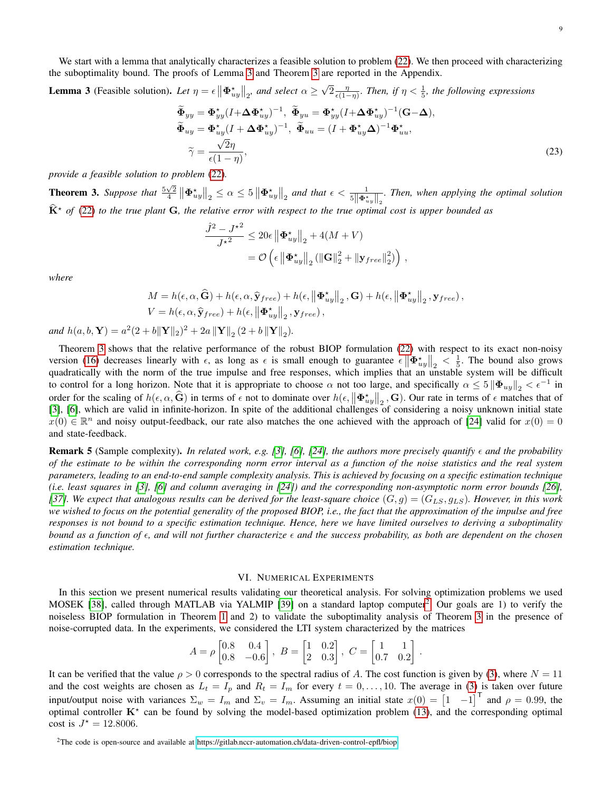We start with a lemma that analytically characterizes a feasible solution to problem [\(22\)](#page-7-2). We then proceed with characterizing the suboptimality bound. The proofs of Lemma [3](#page-8-1) and Theorem [3](#page-8-2) are reported in the Appendix.

<span id="page-8-1"></span>**Lemma 3** (Feasible solution). Let  $\eta = \epsilon \left\| \mathbf{\Phi}_{uy}^{\star} \right\|_2$ , and select  $\alpha \geq$ √  $\sqrt{2} \frac{\eta}{\epsilon(1-\eta)}$ . Then, if  $\eta < \frac{1}{5}$ , the following expressions

$$
\widetilde{\Phi}_{yy} = \Phi_{yy}^* (I + \Delta \Phi_{uy}^*)^{-1}, \ \widetilde{\Phi}_{yu} = \Phi_{yy}^* (I + \Delta \Phi_{uy}^*)^{-1} (\mathbf{G} - \Delta), \n\widetilde{\Phi}_{uy} = \Phi_{uy}^* (I + \Delta \Phi_{uy}^*)^{-1}, \ \widetilde{\Phi}_{uu} = (I + \Phi_{uy}^* \Delta)^{-1} \Phi_{uu}^*, \n\widetilde{\gamma} = \frac{\sqrt{2}\eta}{\epsilon (1 - \eta)},
$$
\n(23)

*provide a feasible solution to problem* [\(22\)](#page-7-2)*.*

<span id="page-8-2"></span>**Theorem 3.** Suppose that  $\frac{5\sqrt{2}}{4} \left\| \mathbf{\Phi}_{uy}^* \right\|_2 \leq \alpha \leq 5 \left\| \mathbf{\Phi}_{uy}^* \right\|_2$  and that  $\epsilon < \frac{1}{5 \left\| \mathbf{\Phi}_{uy}^* \right\|_2}$ . Then, when applying the optimal solution  $\widehat{K}^{\star}$  of [\(22\)](#page-7-2) to the true plant G, the relative error with respect to the true optimal cost is upper bounded as

$$
\frac{\hat{J}^2 - J^{\star 2}}{J^{\star 2}} \leq 20\epsilon \left\| \mathbf{\Phi}_{uy}^{\star} \right\|_2 + 4(M + V)
$$
  
=  $\mathcal{O}\left(\epsilon \left\| \mathbf{\Phi}_{uy}^{\star} \right\|_2 (\left\| \mathbf{G} \right\|_2^2 + \left\| \mathbf{y}_{free} \right\|_2^2) \right),$ 

*where*

$$
M = h(\epsilon, \alpha, \widehat{\mathbf{G}}) + h(\epsilon, \alpha, \widehat{\mathbf{y}}_{free}) + h(\epsilon, ||\boldsymbol{\Phi}_{uy}^*||_2, \mathbf{G}) + h(\epsilon, ||\boldsymbol{\Phi}_{uy}^*||_2, \mathbf{y}_{free}),
$$
  

$$
V = h(\epsilon, \alpha, \widehat{\mathbf{y}}_{free}) + h(\epsilon, ||\boldsymbol{\Phi}_{uy}^*||_2, \mathbf{y}_{free}),
$$

*and*  $h(a, b, Y) = a^2(2 + b||Y||_2)^2 + 2a ||Y||_2 (2 + b ||Y||_2)$ .

Theorem [3](#page-8-2) shows that the relative performance of the robust BIOP formulation [\(22\)](#page-7-2) with respect to its exact non-noisy version [\(16\)](#page-4-9) decreases linearly with  $\epsilon$ , as long as  $\epsilon$  is small enough to guarantee  $\epsilon \left\| \Phi_{uy}^* \right\|_2 < \frac{1}{5}$ . The bound also grows quadratically with the norm of the true impulse and free responses, which implies that an unstable system will be difficult to control for a long horizon. Note that it is appropriate to choose  $\alpha$  not too large, and specifically  $\alpha \leq 5 \|\Phi_{uy}\|_2 < \epsilon^{-1}$  in order for the scaling of  $h(\epsilon, \alpha, \hat{G})$  in terms of  $\epsilon$  not to dominate over  $h(\epsilon, ||\Phi_{uy}^*||_2, G)$ . Our rate in terms of  $\epsilon$  matches that of [\[3\]](#page-10-2), [\[6\]](#page-10-20), which are valid in infinite-horizon. In spite of the additional challenges of considering a noisy unknown initial state  $x(0) \in \mathbb{R}^n$  and noisy output-feedback, our rate also matches the one achieved with the approach of [\[24\]](#page-10-17) valid for  $x(0) = 0$ and state-feedback.

**Remark 5** (Sample complexity). In related work, e.g. [\[3\]](#page-10-2), [\[6\]](#page-10-20), [\[24\]](#page-10-17), the authors more precisely quantify  $\epsilon$  and the probability *of the estimate to be within the corresponding norm error interval as a function of the noise statistics and the real system parameters, leading to an end-to-end sample complexity analysis. This is achieved by focusing on a specific estimation technique (i.e. least squares in [\[3\]](#page-10-2), [\[6\]](#page-10-20) and column averaging in [\[24\]](#page-10-17)) and the corresponding non-asymptotic norm error bounds [\[26\]](#page-10-19),* [\[37\]](#page-11-0)*.* We expect that analogous results can be derived for the least-square choice  $(G, g) = (G_{LS}, g_{LS})$ *. However, in this work we wished to focus on the potential generality of the proposed BIOP, i.e., the fact that the approximation of the impulse and free responses is not bound to a specific estimation technique. Hence, here we have limited ourselves to deriving a suboptimality bound as a function of , and will not further characterize and the success probability, as both are dependent on the chosen estimation technique.*

#### VI. NUMERICAL EXPERIMENTS

<span id="page-8-0"></span>In this section we present numerical results validating our theoretical analysis. For solving optimization problems we used MOSEK [\[38\]](#page-11-1), called through MATLAB via YALMIP [\[39\]](#page-11-2) on a standard laptop computer<sup>[2](#page-8-3)</sup>. Our goals are 1) to verify the noiseless BIOP formulation in Theorem [1](#page-4-8) and 2) to validate the suboptimality analysis of Theorem [3](#page-8-2) in the presence of noise-corrupted data. In the experiments, we considered the LTI system characterized by the matrices

$$
A = \rho \begin{bmatrix} 0.8 & 0.4 \\ 0.8 & -0.6 \end{bmatrix}, \ B = \begin{bmatrix} 1 & 0.2 \\ 2 & 0.3 \end{bmatrix}, \ C = \begin{bmatrix} 1 & 1 \\ 0.7 & 0.2 \end{bmatrix}.
$$

It can be verified that the value  $\rho > 0$  corresponds to the spectral radius of A. The cost function is given by [\(3\)](#page-1-1), where  $N = 11$ and the cost weights are chosen as  $L_t = I_p$  and  $R_t = I_m$  for every  $t = 0, \ldots, 10$ . The average in [\(3\)](#page-1-1) is taken over future input/output noise with variances  $\Sigma_w = I_m$  and  $\Sigma_v = I_m$ . Assuming an initial state  $x(0) = \begin{bmatrix} 1 & -1 \end{bmatrix}^\mathsf{T}$  and  $\rho = 0.99$ , the optimal controller  $K^*$  can be found by solving the model-based optimization problem [\(13\)](#page-3-4), and the corresponding optimal cost is  $J^* = 12.8006$ .

<span id="page-8-3"></span><sup>2</sup>The code is open-source and available at<https://gitlab.nccr-automation.ch/data-driven-control-epfl/biop>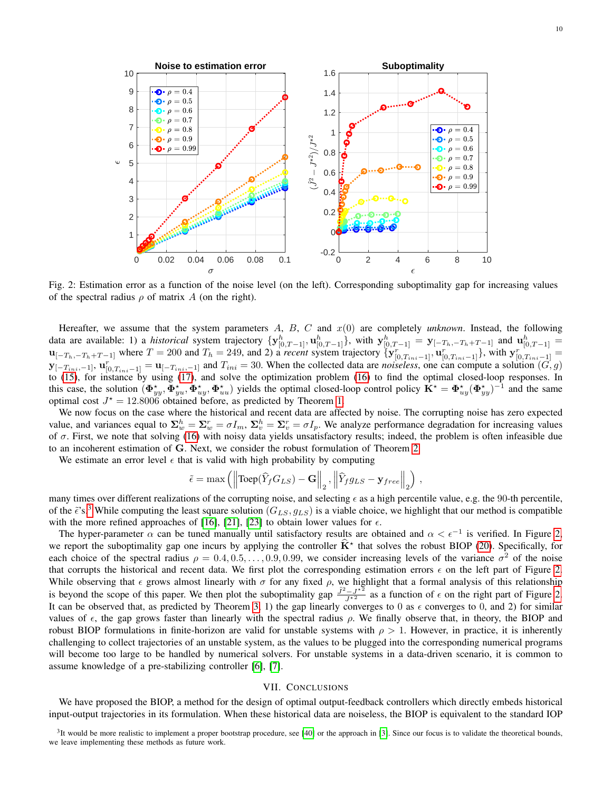<span id="page-9-2"></span>

Fig. 2: Estimation error as a function of the noise level (on the left). Corresponding suboptimality gap for increasing values of the spectral radius  $\rho$  of matrix A (on the right).

Hereafter, we assume that the system parameters  $A, B, C$  and  $x(0)$  are completely *unknown*. Instead, the following data are available: 1) a *historical* system trajectory  $\{y_{[0,T-1]}^h, u_{[0,T-1]}^h\}$ , with  $y_{[0,T-1]}^h = y_{[-T_h,-T_h+T-1]}$  and  $u_{[0,T-1]}^h =$  $\mathbf{u}_{[-T_h,-T_h+T-1]}$  where  $T = 200$  and  $T_h = 249$ , and 2) a *recent* system trajectory  $\{ \mathbf{y}_{[0,T_{ini}-1]}^r, \mathbf{u}_{[0,T_{ini}-1]}^r \}$ , with  $\mathbf{y}_{[0,T_{ini}-1]}^r =$  $\mathbf{y}_{[-T_{ini},-1]}, \mathbf{u}_{[0,T_{ini}-1]}^r = \mathbf{u}_{[-T_{ini},-1]}$  and  $T_{ini} = 30$ . When the collected data are *noiseless*, one can compute a solution  $(G, g)$ to [\(15\)](#page-4-6), for instance by using [\(17\)](#page-5-1), and solve the optimization problem [\(16\)](#page-4-9) to find the optimal closed-loop responses. In this case, the solution  $(\Phi_{yy}^*, \Phi_{yy}^*, \Phi_{uy}^*, \Phi_{uu}^*)$  yields the optimal closed-loop control policy  $\mathbf{K}^* = \Phi_{uy}^*(\Phi_{yy}^*)^{-1}$  and the same optimal cost  $J^* = 12.8006$  obtained before, as predicted by Theorem [1.](#page-4-8)

We now focus on the case where the historical and recent data are affected by noise. The corrupting noise has zero expected value, and variances equal to  $\Sigma_w^h = \Sigma_w^r = \sigma I_m$ ,  $\Sigma_v^h = \Sigma_v^r = \sigma I_p$ . We analyze performance degradation for increasing values of  $\sigma$ . First, we note that solving [\(16\)](#page-4-9) with noisy data yields unsatisfactory results; indeed, the problem is often infeasible due to an incoherent estimation of G. Next, we consider the robust formulation of Theorem [2.](#page-7-3)

We estimate an error level  $\epsilon$  that is valid with high probability by computing

$$
\tilde{\epsilon} = \max \left( \left\| \text{Toep}(\hat{Y}_f G_{LS}) - \mathbf{G} \right\|_2, \left\| \hat{Y}_f g_{LS} - \mathbf{y}_{free} \right\|_2 \right),
$$

many times over different realizations of the corrupting noise, and selecting  $\epsilon$  as a high percentile value, e.g. the 90-th percentile, of the  $\tilde{\epsilon}$ 's.<sup>[3](#page-9-1)</sup> While computing the least square solution ( $G_{LS}$ ,  $g_{LS}$ ) is a viable choice, we highlight that our method is compatible with the more refined approaches of [\[16\]](#page-10-15), [\[21\]](#page-10-13), [\[23\]](#page-10-16) to obtain lower values for  $\epsilon$ .

The hyper-parameter  $\alpha$  can be tuned manually until satisfactory results are obtained and  $\alpha < \epsilon^{-1}$  is verified. In Figure [2,](#page-9-2) we report the suboptimality gap one incurs by applying the controller  $\hat{\mathbf{K}}^*$  that solves the robust BIOP [\(20\)](#page-6-3). Specifically, for each choice of the spectral radius  $\rho = 0.4, 0.5, \ldots, 0.9, 0.99$ , we consider increasing levels of the variance  $\sigma^2$  of the noise that corrupts the historical and recent data. We first plot the corresponding estimation errors  $\epsilon$  on the left part of Figure [2.](#page-9-2) While observing that  $\epsilon$  grows almost linearly with  $\sigma$  for any fixed  $\rho$ , we highlight that a formal analysis of this relationship is beyond the scope of this paper. We then plot the suboptimality gap  $\frac{j^2 - J^{*2}}{J^{*2}}$  as a function of  $\epsilon$  on the right part of Figure [2.](#page-9-2) It can be observed that, as predicted by Theorem [3,](#page-8-2) 1) the gap linearly converges to 0 as  $\epsilon$  converges to 0, and 2) for similar values of  $\epsilon$ , the gap grows faster than linearly with the spectral radius  $\rho$ . We finally observe that, in theory, the BIOP and robust BIOP formulations in finite-horizon are valid for unstable systems with  $\rho > 1$ . However, in practice, it is inherently challenging to collect trajectories of an unstable system, as the values to be plugged into the corresponding numerical programs will become too large to be handled by numerical solvers. For unstable systems in a data-driven scenario, it is common to assume knowledge of a pre-stabilizing controller [\[6\]](#page-10-20), [\[7\]](#page-10-31).

#### VII. CONCLUSIONS

<span id="page-9-0"></span>We have proposed the BIOP, a method for the design of optimal output-feedback controllers which directly embeds historical input-output trajectories in its formulation. When these historical data are noiseless, the BIOP is equivalent to the standard IOP

<span id="page-9-1"></span> $3$ It would be more realistic to implement a proper bootstrap procedure, see [\[40\]](#page-11-3) or the approach in [\[3\]](#page-10-2). Since our focus is to validate the theoretical bounds, we leave implementing these methods as future work.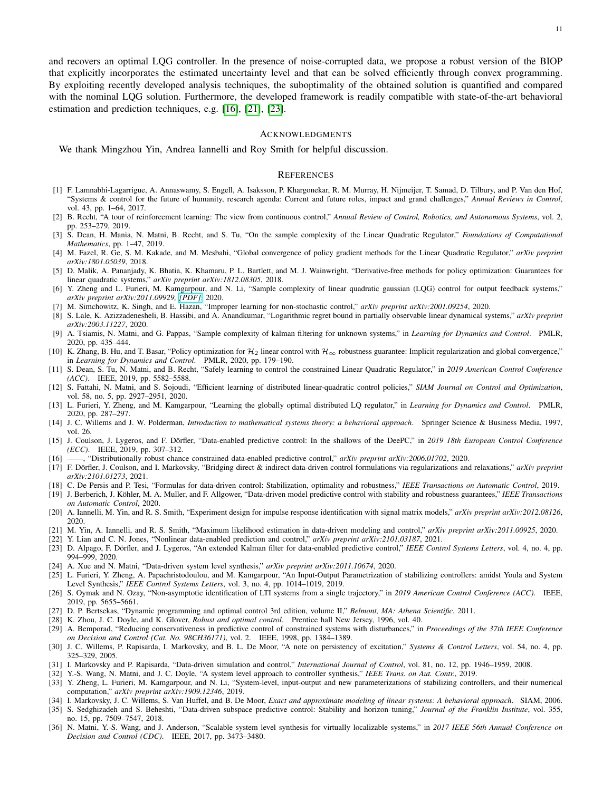and recovers an optimal LQG controller. In the presence of noise-corrupted data, we propose a robust version of the BIOP that explicitly incorporates the estimated uncertainty level and that can be solved efficiently through convex programming. By exploiting recently developed analysis techniques, the suboptimality of the obtained solution is quantified and compared with the nominal LQG solution. Furthermore, the developed framework is readily compatible with state-of-the-art behavioral estimation and prediction techniques, e.g. [\[16\]](#page-10-15), [\[21\]](#page-10-13), [\[23\]](#page-10-16).

#### ACKNOWLEDGMENTS

We thank Mingzhou Yin, Andrea Iannelli and Roy Smith for helpful discussion.

#### **REFERENCES**

- <span id="page-10-0"></span>[1] F. Lamnabhi-Lagarrigue, A. Annaswamy, S. Engell, A. Isaksson, P. Khargonekar, R. M. Murray, H. Nijmeijer, T. Samad, D. Tilbury, and P. Van den Hof, "Systems & control for the future of humanity, research agenda: Current and future roles, impact and grand challenges," *Annual Reviews in Control*, vol. 43, pp. 1–64, 2017.
- <span id="page-10-1"></span>[2] B. Recht, "A tour of reinforcement learning: The view from continuous control," *Annual Review of Control, Robotics, and Autonomous Systems*, vol. 2, pp. 253–279, 2019.
- <span id="page-10-2"></span>[3] S. Dean, H. Mania, N. Matni, B. Recht, and S. Tu, "On the sample complexity of the Linear Quadratic Regulator," *Foundations of Computational Mathematics*, pp. 1–47, 2019.
- [4] M. Fazel, R. Ge, S. M. Kakade, and M. Mesbahi, "Global convergence of policy gradient methods for the Linear Quadratic Regulator," *arXiv preprint arXiv:1801.05039*, 2018.
- [5] D. Malik, A. Pananjady, K. Bhatia, K. Khamaru, P. L. Bartlett, and M. J. Wainwright, "Derivative-free methods for policy optimization: Guarantees for linear quadratic systems," *arXiv preprint arXiv:1812.08305*, 2018.
- <span id="page-10-20"></span>[6] Y. Zheng and L. Furieri, M. Kamgarpour, and N. Li, "Sample complexity of linear quadratic gaussian (LQG) control for output feedback systems," *arXiv preprint arXiv:2011.09929, [\[PDF\]](https://arxiv.org/pdf/2011.09929.pdf)*, 2020.
- <span id="page-10-31"></span>[7] M. Simchowitz, K. Singh, and E. Hazan, "Improper learning for non-stochastic control," *arXiv preprint arXiv:2001.09254*, 2020.
- [8] S. Lale, K. Azizzadenesheli, B. Hassibi, and A. Anandkumar, "Logarithmic regret bound in partially observable linear dynamical systems," *arXiv preprint arXiv:2003.11227*, 2020.
- [9] A. Tsiamis, N. Matni, and G. Pappas, "Sample complexity of kalman filtering for unknown systems," in *Learning for Dynamics and Control*. PMLR, 2020, pp. 435–444.
- <span id="page-10-3"></span>[10] K. Zhang, B. Hu, and T. Basar, "Policy optimization for  $\mathcal{H}_2$  linear control with  $\mathcal{H}_{\infty}$  robustness guarantee: Implicit regularization and global convergence," in *Learning for Dynamics and Control*. PMLR, 2020, pp. 179–190.
- <span id="page-10-4"></span>[11] S. Dean, S. Tu, N. Matni, and B. Recht, "Safely learning to control the constrained Linear Quadratic Regulator," in *2019 American Control Conference (ACC)*. IEEE, 2019, pp. 5582–5588.
- <span id="page-10-5"></span>[12] S. Fattahi, N. Matni, and S. Sojoudi, "Efficient learning of distributed linear-quadratic control policies," *SIAM Journal on Control and Optimization*, vol. 58, no. 5, pp. 2927–2951, 2020.
- <span id="page-10-6"></span>[13] L. Furieri, Y. Zheng, and M. Kamgarpour, "Learning the globally optimal distributed LQ regulator," in *Learning for Dynamics and Control*. PMLR, 2020, pp. 287–297.
- <span id="page-10-7"></span>[14] J. C. Willems and J. W. Polderman, *Introduction to mathematical systems theory: a behavioral approach*. Springer Science & Business Media, 1997, vol. 26.
- <span id="page-10-8"></span>[15] J. Coulson, J. Lygeros, and F. Dörfler, "Data-enabled predictive control: In the shallows of the DeePC," in 2019 18th European Control Conference *(ECC)*. IEEE, 2019, pp. 307–312.
- <span id="page-10-15"></span>[16] ——, "Distributionally robust chance constrained data-enabled predictive control," *arXiv preprint arXiv:2006.01702*, 2020.
- <span id="page-10-9"></span>[17] F. Dörfler, J. Coulson, and I. Markovsky, "Bridging direct & indirect data-driven control formulations via regularizations and relaxations," arXiv preprint *arXiv:2101.01273*, 2021.
- <span id="page-10-10"></span>[18] C. De Persis and P. Tesi, "Formulas for data-driven control: Stabilization, optimality and robustness," *IEEE Transactions on Automatic Control*, 2019.
- <span id="page-10-11"></span>[19] J. Berberich, J. Köhler, M. A. Muller, and F. Allgower, "Data-driven model predictive control with stability and robustness guarantees," IEEE Transactions *on Automatic Control*, 2020.
- <span id="page-10-12"></span>[20] A. Iannelli, M. Yin, and R. S. Smith, "Experiment design for impulse response identification with signal matrix models," *arXiv preprint arXiv:2012.08126*, 2020.
- <span id="page-10-13"></span>[21] M. Yin, A. Iannelli, and R. S. Smith, "Maximum likelihood estimation in data-driven modeling and control," *arXiv preprint arXiv:2011.00925*, 2020.
- <span id="page-10-14"></span>[22] Y. Lian and C. N. Jones, "Nonlinear data-enabled prediction and control," *arXiv preprint arXiv:2101.03187*, 2021.
- <span id="page-10-16"></span>[23] D. Alpago, F. Dörfler, and J. Lygeros, "An extended Kalman filter for data-enabled predictive control," IEEE Control Systems Letters, vol. 4, no. 4, pp. 994–999, 2020.
- <span id="page-10-17"></span>[24] A. Xue and N. Matni, "Data-driven system level synthesis," *arXiv preprint arXiv:2011.10674*, 2020.
- <span id="page-10-18"></span>[25] L. Furieri, Y. Zheng, A. Papachristodoulou, and M. Kamgarpour, "An Input-Output Parametrization of stabilizing controllers: amidst Youla and System Level Synthesis," *IEEE Control Systems Letters*, vol. 3, no. 4, pp. 1014–1019, 2019.
- <span id="page-10-19"></span>[26] S. Oymak and N. Ozay, "Non-asymptotic identification of LTI systems from a single trajectory," in *2019 American Control Conference (ACC)*. IEEE, 2019, pp. 5655–5661.
- <span id="page-10-21"></span>[27] D. P. Bertsekas, "Dynamic programming and optimal control 3rd edition, volume II," *Belmont, MA: Athena Scientific*, 2011.
- <span id="page-10-23"></span><span id="page-10-22"></span>[28] K. Zhou, J. C. Doyle, and K. Glover, *Robust and optimal control*. Prentice hall New Jersey, 1996, vol. 40. [29] A. Bemporad, "Reducing conservativeness in predictive control of constrained systems with disturbances," in *Proceedings of the 37th IEEE Conference on Decision and Control (Cat. No. 98CH36171)*, vol. 2. IEEE, 1998, pp. 1384–1389.
- <span id="page-10-24"></span>[30] J. C. Willems, P. Rapisarda, I. Markovsky, and B. L. De Moor, "A note on persistency of excitation," *Systems & Control Letters*, vol. 54, no. 4, pp. 325–329, 2005.
- <span id="page-10-25"></span>[31] I. Markovsky and P. Rapisarda, "Data-driven simulation and control," *International Journal of Control*, vol. 81, no. 12, pp. 1946–1959, 2008.
- <span id="page-10-26"></span>[32] Y.-S. Wang, N. Matni, and J. C. Doyle, "A system level approach to controller synthesis," *IEEE Trans. on Aut. Contr.*, 2019.
- <span id="page-10-27"></span>[33] Y. Zheng, L. Furieri, M. Kamgarpour, and N. Li, "System-level, input-output and new parameterizations of stabilizing controllers, and their numerical computation," *arXiv preprint arXiv:1909.12346*, 2019.
- <span id="page-10-28"></span>[34] I. Markovsky, J. C. Willems, S. Van Huffel, and B. De Moor, *Exact and approximate modeling of linear systems: A behavioral approach*. SIAM, 2006.
- <span id="page-10-29"></span>[35] S. Sedghizadeh and S. Beheshti, "Data-driven subspace predictive control: Stability and horizon tuning," *Journal of the Franklin Institute*, vol. 355, no. 15, pp. 7509–7547, 2018.
- <span id="page-10-30"></span>[36] N. Matni, Y.-S. Wang, and J. Anderson, "Scalable system level synthesis for virtually localizable systems," in *2017 IEEE 56th Annual Conference on Decision and Control (CDC)*. IEEE, 2017, pp. 3473–3480.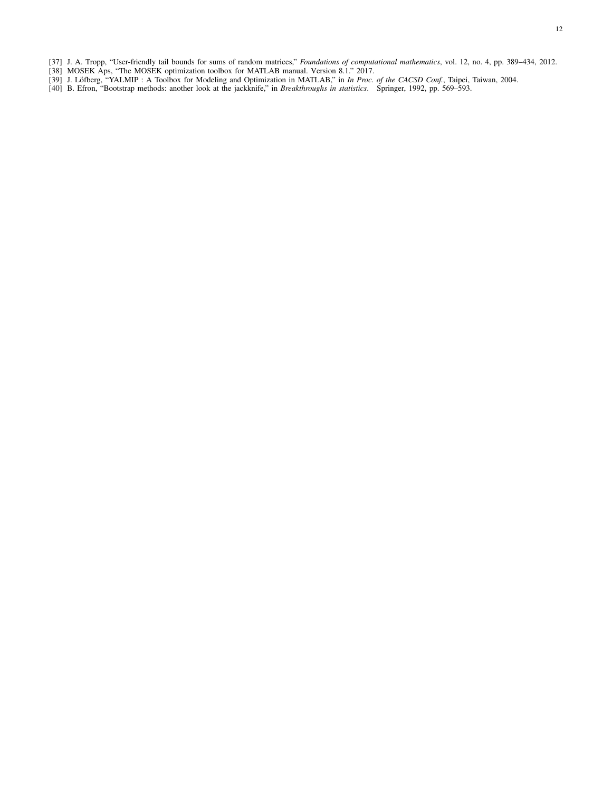- <span id="page-11-0"></span>[37] J. A. Tropp, "User-friendly tail bounds for sums of random matrices," *Foundations of computational mathematics*, vol. 12, no. 4, pp. 389–434, 2012.
- <span id="page-11-1"></span>[38] MOSEK Aps, "The MOSEK optimization toolbox for MATLAB manual. Version 8.1." 2017.
- <span id="page-11-2"></span>[39] J. Löfberg, "YALMIP : A Toolbox for Modeling and Optimization in MATLAB," in In Proc. of the CACSD Conf., Taipei, Taiwan, 2004.
- <span id="page-11-3"></span>[40] B. Efron, "Bootstrap methods: another look at the jackknife," in *Breakthroughs in statistics*. Springer, 1992, pp. 569–593.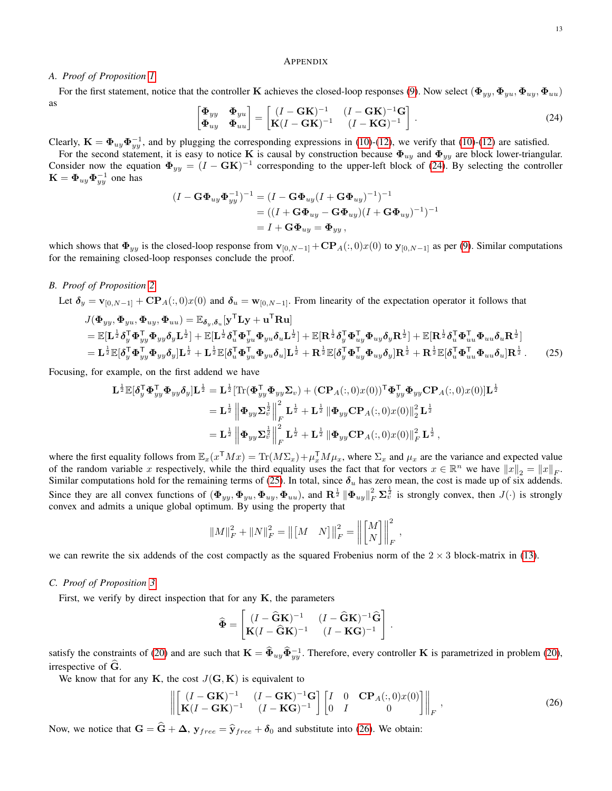<span id="page-12-1"></span> $\frac{1}{2}$ 

#### APPENDIX

#### *A. Proof of Proposition [1](#page-3-7)*

For the first statement, notice that the controller K achieves the closed-loop responses [\(9\)](#page-3-5). Now select  $(\Phi_{yy}, \Phi_{yy}, \Phi_{uy}, \Phi_{uu})$ as

<span id="page-12-0"></span>
$$
\begin{bmatrix} \mathbf{\Phi}_{yy} & \mathbf{\Phi}_{yu} \\ \mathbf{\Phi}_{uy} & \mathbf{\Phi}_{uu} \end{bmatrix} = \begin{bmatrix} (I - \mathbf{G}\mathbf{K})^{-1} & (I - \mathbf{G}\mathbf{K})^{-1}\mathbf{G} \\ \mathbf{K}(I - \mathbf{G}\mathbf{K})^{-1} & (I - \mathbf{K}\mathbf{G})^{-1} \end{bmatrix}.
$$
 (24)

Clearly,  $\mathbf{K} = \mathbf{\Phi}_{uy} \mathbf{\Phi}_{yy}^{-1}$ , and by plugging the corresponding expressions in [\(10\)](#page-3-1)-[\(12\)](#page-3-2), we verify that (10)-(12) are satisfied.

For the second statement, it is easy to notice K is causal by construction because  $\Phi_{uy}$  and  $\Phi_{yy}$  are block lower-triangular. Consider now the equation  $\Phi_{yy} = (I - GK)^{-1}$  corresponding to the upper-left block of [\(24\)](#page-12-0). By selecting the controller  $\mathbf{K} = \mathbf{\Phi}_{uy}\mathbf{\Phi}_{yy}^{-1}$  one has

$$
(I - \mathbf{G} \Phi_{uy} \Phi_{yy}^{-1})^{-1} = (I - \mathbf{G} \Phi_{uy} (I + \mathbf{G} \Phi_{uy})^{-1})^{-1}
$$
  
= ((I + \mathbf{G} \Phi\_{uy} - \mathbf{G} \Phi\_{uy})(I + \mathbf{G} \Phi\_{uy})^{-1})^{-1}  
= I + \mathbf{G} \Phi\_{uy} = \Phi\_{yy},

which shows that  $\Phi_{yy}$  is the closed-loop response from  $\mathbf{v}_{[0,N-1]} + \mathbf{CP}_A(:,0)x(0)$  to  $\mathbf{y}_{[0,N-1]}$  as per [\(9\)](#page-3-5). Similar computations for the remaining closed-loop responses conclude the proof.

#### *B. Proof of Proposition [2](#page-3-8)*

Let  $\delta_y = \mathbf{v}_{[0,N-1]} + \mathbf{CP}_A(:,0)x(0)$  and  $\delta_u = \mathbf{w}_{[0,N-1]}$ . From linearity of the expectation operator it follows that

$$
J(\Phi_{yy}, \Phi_{yu}, \Phi_{uy}, \Phi_{uu}) = \mathbb{E}_{\delta_y, \delta_u}[\mathbf{y}^{\mathsf{T}} \mathbf{L} \mathbf{y} + \mathbf{u}^{\mathsf{T}} \mathbf{R} \mathbf{u}]
$$
  
\n
$$
= \mathbb{E}[\mathbf{L}^{\frac{1}{2}} \delta_y^{\mathsf{T}} \Phi_{yy}^{\mathsf{T}} \Phi_{yy} \delta_y \mathbf{L}^{\frac{1}{2}}] + \mathbb{E}[\mathbf{L}^{\frac{1}{2}} \delta_u^{\mathsf{T}} \Phi_{yu}^{\mathsf{T}} \Phi_{uu} \delta_u \mathbf{L}^{\frac{1}{2}}] + \mathbb{E}[\mathbf{R}^{\frac{1}{2}} \delta_y^{\mathsf{T}} \Phi_{uy}^{\mathsf{T}} \Phi_{uy} \delta_y \mathbf{R}^{\frac{1}{2}}] + \mathbb{E}[\mathbf{R}^{\frac{1}{2}} \delta_u^{\mathsf{T}} \Phi_{uu}^{\mathsf{T}} \delta_u \Phi_{uu} \delta_u \mathbf{R}^{\frac{1}{2}}]
$$
  
\n
$$
= \mathbf{L}^{\frac{1}{2}} \mathbb{E}[\delta_y^{\mathsf{T}} \Phi_{yy}^{\mathsf{T}} \Phi_{yy} \delta_y] \mathbf{L}^{\frac{1}{2}} + \mathbf{L}^{\frac{1}{2}} \mathbb{E}[\delta_u^{\mathsf{T}} \Phi_{yu}^{\mathsf{T}} \Phi_{yu} \delta_u] \mathbf{L}^{\frac{1}{2}} + \mathbf{R}^{\frac{1}{2}} \mathbb{E}[\delta_y^{\mathsf{T}} \Phi_{uy}^{\mathsf{T}} \Phi_{uy} \delta_y] \mathbf{R}^{\frac{1}{2}} + \mathbf{R}^{\frac{1}{2}} \mathbb{E}[\delta_u^{\mathsf{T}} \Phi_{uu}^{\mathsf{T}} \Phi_{uu} \delta_u] \mathbf{R}^{\frac{1}{2}}. \tag{25}
$$

Focusing, for example, on the first addend we have

$$
\mathbf{L}^{\frac{1}{2}}\mathbb{E}[\boldsymbol{\delta}_y^{\mathsf{T}}\boldsymbol{\Phi}_{yy}^{\mathsf{T}}\boldsymbol{\Phi}_{yy}\boldsymbol{\delta}_y]\mathbf{L}^{\frac{1}{2}} = \mathbf{L}^{\frac{1}{2}}[\text{Tr}(\boldsymbol{\Phi}_{yy}^{\mathsf{T}}\boldsymbol{\Phi}_{yy}\boldsymbol{\Sigma}_v) + (\mathbf{C}\mathbf{P}_A(:,0)x(0))^{\mathsf{T}}\boldsymbol{\Phi}_{yy}^{\mathsf{T}}\boldsymbol{\Phi}_{yy}\mathbf{C}\mathbf{P}_A(:,0)x(0)]\mathbf{L}
$$
  
\n
$$
= \mathbf{L}^{\frac{1}{2}} \left\|\boldsymbol{\Phi}_{yy}\boldsymbol{\Sigma}_v^{\frac{1}{2}}\right\|_F^2 \mathbf{L}^{\frac{1}{2}} + \mathbf{L}^{\frac{1}{2}} \left\|\boldsymbol{\Phi}_{yy}\mathbf{C}\mathbf{P}_A(:,0)x(0)\right\|_2^2 \mathbf{L}^{\frac{1}{2}}
$$
  
\n
$$
= \mathbf{L}^{\frac{1}{2}} \left\|\boldsymbol{\Phi}_{yy}\boldsymbol{\Sigma}_v^{\frac{1}{2}}\right\|_F^2 \mathbf{L}^{\frac{1}{2}} + \mathbf{L}^{\frac{1}{2}} \left\|\boldsymbol{\Phi}_{yy}\mathbf{C}\mathbf{P}_A(:,0)x(0)\right\|_F^2 \mathbf{L}^{\frac{1}{2}},
$$

where the first equality follows from  $\mathbb{E}_x(x^TMx) = \text{Tr}(M\Sigma_x) + \mu_x^TM\mu_x$ , where  $\Sigma_x$  and  $\mu_x$  are the variance and expected value of the random variable x respectively, while the third equality uses the fact that for vectors  $x \in \mathbb{R}^n$  we have  $||x||_2 = ||x||_F$ . Similar computations hold for the remaining terms of [\(25\)](#page-12-1). In total, since  $\delta_u$  has zero mean, the cost is made up of six addends. Since they are all convex functions of  $(\Phi_{yy}, \Phi_{yy}, \Phi_{uy}, \Phi_{uu})$ , and  $\mathbb{R}^{\frac{1}{2}} \|\Phi_{uy}\|_F^2 \Sigma_v^{\frac{1}{2}}$  is strongly convex, then  $J(\cdot)$  is strongly convex and admits a unique global optimum. By using the property that

$$
||M||_F^2 + ||N||_F^2 = ||[M \ N]||_F^2 = ||M||_N^2 ||\bigg\|_F^2,
$$

we can rewrite the six addends of the cost compactly as the squared Frobenius norm of the  $2 \times 3$  block-matrix in [\(13\)](#page-3-4).

#### *C. Proof of Proposition [3](#page-6-0)*

First, we verify by direct inspection that for any  $K$ , the parameters

$$
\widehat{\mathbf{\Phi}} = \begin{bmatrix} (I - \widehat{\mathbf{G}} \mathbf{K})^{-1} & (I - \widehat{\mathbf{G}} \mathbf{K})^{-1} \ \mathbf{K} (I - \widehat{\mathbf{G}} \mathbf{K})^{-1} & (I - \mathbf{K} \mathbf{G})^{-1} \end{bmatrix}
$$

satisfy the constraints of [\(20\)](#page-6-3) and are such that  $\mathbf{K} = \hat{\Phi}_{uy} \hat{\Phi}_{yy}^{-1}$ . Therefore, every controller **K** is parametrized in problem (20), irrespective of  $\ddot{G}$ .

We know that for any K, the cost  $J(G, K)$  is equivalent to

<span id="page-12-2"></span>
$$
\left\| \begin{bmatrix} (I - \mathbf{G} \mathbf{K})^{-1} & (I - \mathbf{G} \mathbf{K})^{-1} \mathbf{G} \\ \mathbf{K}(I - \mathbf{G} \mathbf{K})^{-1} & (I - \mathbf{K} \mathbf{G})^{-1} \end{bmatrix} \begin{bmatrix} I & 0 & \mathbf{C} \mathbf{P}_A(:,0) x(0) \\ 0 & I & 0 \end{bmatrix} \right\|_F,
$$
(26)

.

Now, we notice that  $G = \hat{G} + \Delta$ ,  $y_{free} = \hat{y}_{free} + \delta_0$  and substitute into [\(26\)](#page-12-2). We obtain: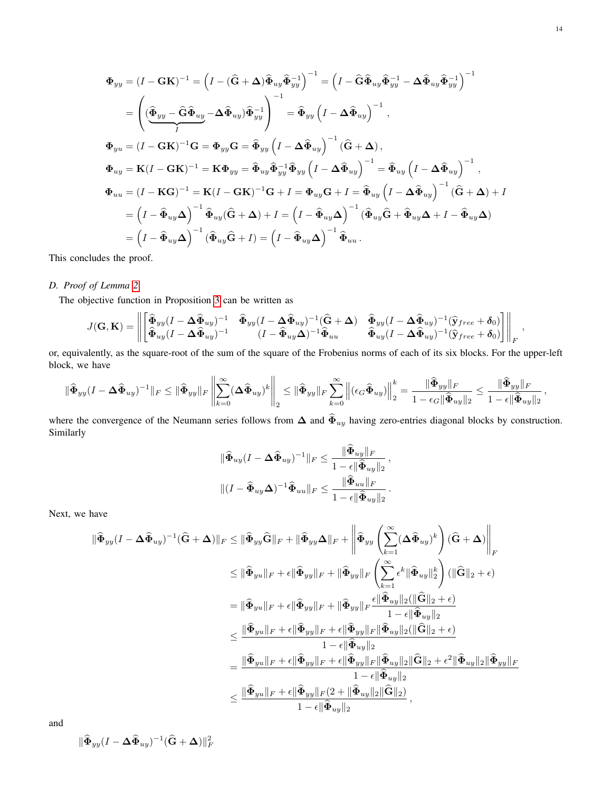$$
\Phi_{yy} = (I - \mathbf{G}\mathbf{K})^{-1} = (I - (\hat{\mathbf{G}} + \boldsymbol{\Delta})\hat{\Phi}_{uy}\hat{\Phi}_{yy}^{-1})^{-1} = (I - \hat{\mathbf{G}}\hat{\Phi}_{uy}\hat{\Phi}_{yy}^{-1} - \boldsymbol{\Delta}\hat{\Phi}_{uy}\hat{\Phi}_{yy}^{-1})^{-1}
$$
\n
$$
= \left(\left(\hat{\Phi}_{yy} - \hat{\mathbf{G}}\hat{\Phi}_{uy} - \boldsymbol{\Delta}\hat{\Phi}_{uy}\right)\hat{\Phi}_{yy}^{-1}\right)^{-1} = \hat{\Phi}_{yy}\left(I - \boldsymbol{\Delta}\hat{\Phi}_{uy}\right)^{-1},
$$
\n
$$
\Phi_{yu} = (I - \mathbf{G}\mathbf{K})^{-1}\mathbf{G} = \Phi_{yy}\mathbf{G} = \hat{\Phi}_{yy}\left(I - \boldsymbol{\Delta}\hat{\Phi}_{uy}\right)^{-1}(\hat{\mathbf{G}} + \boldsymbol{\Delta}),
$$
\n
$$
\Phi_{uy} = \mathbf{K}(I - \mathbf{G}\mathbf{K})^{-1} = \mathbf{K}\Phi_{yy} = \hat{\Phi}_{uy}\hat{\Phi}_{yy}^{-1}\hat{\Phi}_{yy}\left(I - \boldsymbol{\Delta}\hat{\Phi}_{uy}\right)^{-1} = \hat{\Phi}_{uy}\left(I - \boldsymbol{\Delta}\hat{\Phi}_{uy}\right)^{-1},
$$
\n
$$
\Phi_{uu} = (I - \mathbf{K}\mathbf{G})^{-1} = \mathbf{K}(I - \mathbf{G}\mathbf{K})^{-1}\mathbf{G} + I = \Phi_{uy}\mathbf{G} + I = \hat{\Phi}_{uy}\left(I - \boldsymbol{\Delta}\hat{\Phi}_{uy}\right)^{-1}(\hat{\mathbf{G}} + \boldsymbol{\Delta}) + I
$$
\n
$$
= \left(I - \hat{\Phi}_{uy}\boldsymbol{\Delta}\right)^{-1}\hat{\Phi}_{uy}(\hat{\mathbf{G}} + \boldsymbol{\Delta}) + I = \left(I - \hat{\Phi}_{uy}\boldsymbol{\Delta}\right)^{-1}(\hat{\Phi}_{uy}\hat{\mathbf{G}} + \hat{\Phi}_{uy}\boldsymbol{\Delta} + I - \hat{\Phi}_{uy}\boldsymbol{\Delta})
$$
\n
$$
= \left(I - \hat{\Phi}_{uy}\boldsymbol{\Delta}\right)^{-1}(\hat{\Phi}_{uy}\hat{\mathbf{G}} + I) = \left(I - \hat{\Phi}_{uy}\boldsymbol{\Delta}\right)^{-1}\hat{\Phi}_{uu}.
$$

This concludes the proof.

# *D. Proof of Lemma [2](#page-7-1)*

The objective function in Proposition [3](#page-6-0) can be written as

$$
J(\mathbf{G},\mathbf{K}) = \left\| \begin{bmatrix} \widehat{\boldsymbol{\Phi}}_{yy}(I-\boldsymbol{\Delta}\widehat{\boldsymbol{\Phi}}_{uy})^{-1} & \widehat{\boldsymbol{\Phi}}_{yy}(I-\boldsymbol{\Delta}\widehat{\boldsymbol{\Phi}}_{uy})^{-1}(\widehat{\mathbf{G}}+\boldsymbol{\Delta}) & \widehat{\boldsymbol{\Phi}}_{yy}(I-\boldsymbol{\Delta}\widehat{\boldsymbol{\Phi}}_{uy})^{-1}(\widehat{\mathbf{y}}_{free}+\boldsymbol{\delta}_{0})\\ \widehat{\boldsymbol{\Phi}}_{uy}(I-\boldsymbol{\Delta}\widehat{\boldsymbol{\Phi}}_{uy})^{-1} & (I-\widehat{\boldsymbol{\Phi}}_{uy}\boldsymbol{\Delta})^{-1}\widehat{\boldsymbol{\Phi}}_{uu} & \widehat{\boldsymbol{\Phi}}_{uy}(I-\boldsymbol{\Delta}\widehat{\boldsymbol{\Phi}}_{uy})^{-1}(\widehat{\mathbf{y}}_{free}+\boldsymbol{\delta}_{0}) \end{bmatrix} \right\|_{F},
$$

or, equivalently, as the square-root of the sum of the square of the Frobenius norms of each of its six blocks. For the upper-left block, we have

$$
\|\widehat{\Phi}_{yy}(I-\Delta\widehat{\Phi}_{uy})^{-1}\|_F\leq \|\widehat{\Phi}_{yy}\|_F\left\|\sum_{k=0}^\infty(\Delta\widehat{\Phi}_{uy})^k\right\|_2\leq \|\widehat{\Phi}_{yy}\|_F\sum_{k=0}^\infty\left\|(\epsilon_G\widehat{\Phi}_{uy})\right\|_2^k=\frac{\|\widehat{\Phi}_{yy}\|_F}{1-\epsilon_G\|\widehat{\Phi}_{uy}\|_2}\leq \frac{\|\widehat{\Phi}_{yy}\|_F}{1-\epsilon\|\widehat{\Phi}_{uy}\|_2}\,,
$$

where the convergence of the Neumann series follows from  $\Delta$  and  $\hat{\Phi}_{uy}$  having zero-entries diagonal blocks by construction. Similarly

$$
\|\widehat{\Phi}_{uy}(I-\Delta\widehat{\Phi}_{uy})^{-1}\|_{F} \leq \frac{\|\widetilde{\Phi}_{uy}\|_{F}}{1-\epsilon\|\widehat{\Phi}_{uy}\|_{2}},
$$
  

$$
\|(I-\widehat{\Phi}_{uy}\Delta)^{-1}\widehat{\Phi}_{uu}\|_{F} \leq \frac{\|\widehat{\Phi}_{uu}\|_{F}}{1-\epsilon\|\widehat{\Phi}_{uy}\|_{2}}.
$$

Next, we have

$$
\begin{split} \|\widehat{\Phi}_{yy}(I-\Delta\widehat{\Phi}_{uy})^{-1}(\widehat{\mathbf{G}}+\Delta)\|_{F}&\leq \|\widehat{\Phi}_{yy}\widehat{\mathbf{G}}\|_{F}+\|\widehat{\Phi}_{yy}\Delta\|_{F}+\left\|\widehat{\Phi}_{yy}\left(\sum_{k=1}^{\infty}(\Delta\widehat{\Phi}_{uy})^{k}\right)(\widehat{\mathbf{G}}+\Delta)\right\|_{F} \\ &\leq \|\widehat{\Phi}_{yu}\|_{F}+\epsilon\|\widehat{\Phi}_{yy}\|_{F}+\|\widehat{\Phi}_{yy}\|_{F}\left(\sum_{k=1}^{\infty}\epsilon^{k}\|\widehat{\Phi}_{uy}\|_{2}^{k}\right)(\|\widehat{\mathbf{G}}\|_{2}+\epsilon) \\ &=\|\widehat{\Phi}_{yu}\|_{F}+\epsilon\|\widehat{\Phi}_{yy}\|_{F}+\|\widehat{\Phi}_{yy}\|_{F}\frac{\epsilon\|\widehat{\Phi}_{uy}\|_{2}(\|\widehat{\mathbf{G}}\|_{2}+\epsilon)}{1-\epsilon\|\widehat{\Phi}_{uy}\|_{2}} \\ &\leq \frac{\|\widehat{\Phi}_{yu}\|_{F}+\epsilon\|\widehat{\Phi}_{yy}\|_{F}+\epsilon\|\widehat{\Phi}_{yy}\|_{F}\|\widehat{\Phi}_{uy}\|_{2}(\|\widehat{\mathbf{G}}\|_{2}+\epsilon)}{1-\epsilon\|\widehat{\Phi}_{uy}\|_{2}} \\ &=\frac{\|\widehat{\Phi}_{yu}\|_{F}+\epsilon\|\widehat{\Phi}_{yy}\|_{F}+\epsilon\|\widehat{\Phi}_{yy}\|_{F}\|\widehat{\Phi}_{uy}\|_{2}(\|\widehat{\mathbf{G}}\|_{2}+\epsilon^{2}\|\widehat{\Phi}_{uy}\|_{2}\|\widehat{\Phi}_{yy}\|_{F}}{1-\epsilon\|\widehat{\Phi}_{uy}\|_{2}} \\ &\leq \frac{\|\widehat{\Phi}_{yu}\|_{F}+\epsilon\|\widehat{\Phi}_{yy}\|_{F}(2+\|\widehat{\Phi}_{uy}\|_{2}\|\widehat{\mathbf{G}}\|_{2})}{1-\epsilon\|\widehat{\Phi}_{uy}\|_{2}} , \end{split}
$$

and

$$
\|\widehat{\boldsymbol{\Phi}}_{yy}(I-\boldsymbol{\Delta}\widehat{\boldsymbol{\Phi}}_{uy})^{-1}(\widehat{\mathbf{G}}+\boldsymbol{\Delta})\|_F^2
$$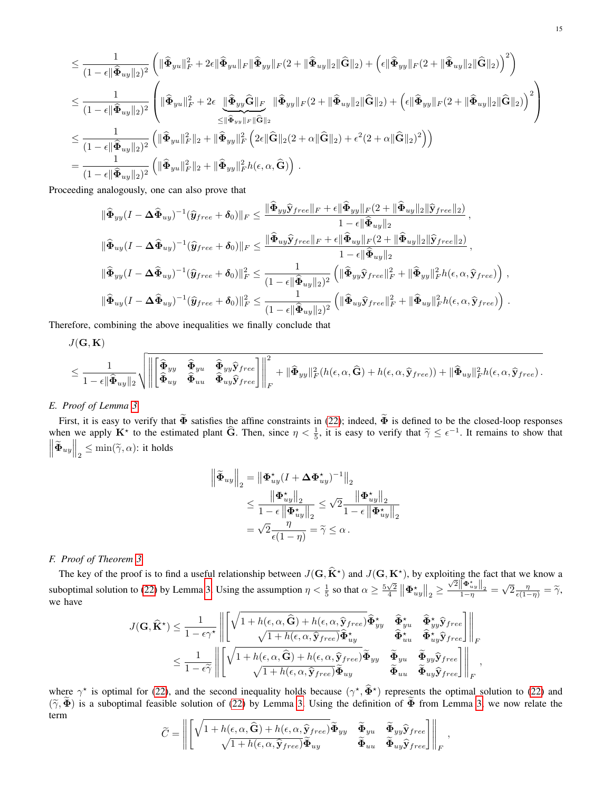$$
\leq \frac{1}{(1-\epsilon||\hat{\Phi}_{uy}||_2)^2} \left( \|\hat{\Phi}_{yu}||_F^2 + 2\epsilon \|\hat{\Phi}_{yu}||_F \|\hat{\Phi}_{yy}||_F (2 + \|\hat{\Phi}_{uy}||_2 \|\hat{G}||_2) + \left(\epsilon \|\hat{\Phi}_{yy}||_F (2 + \|\hat{\Phi}_{uy}||_2 \|\hat{G}||_2)\right)^2 \right)
$$
  
\n
$$
\leq \frac{1}{(1-\epsilon||\hat{\Phi}_{uy}||_2)^2} \left( \|\hat{\Phi}_{yu}||_F^2 + 2\epsilon \underbrace{\|\hat{\Phi}_{yy}\hat{G}||_F}_{\leq ||\hat{\Phi}_{yy}||_F \|\hat{G}||_2} \|\hat{\Phi}_{yy}||_F (2 + \|\hat{\Phi}_{uy}||_2 \|\hat{G}||_2) + \left(\epsilon \|\hat{\Phi}_{yy}||_F (2 + \|\hat{\Phi}_{uy}||_2 \|\hat{G}||_2)\right)^2 \right)
$$
  
\n
$$
\leq \frac{1}{(1-\epsilon||\hat{\Phi}_{uy}||_2)^2} \left( \|\hat{\Phi}_{yu}||_F^2 ||_2 + \|\hat{\Phi}_{yy}||_F^2 \left( 2\epsilon \|\hat{G}||_2 (2 + \alpha \|\hat{G}||_2) + \epsilon^2 (2 + \alpha \|\hat{G}||_2)^2 \right) \right)
$$
  
\n
$$
= \frac{1}{(1-\epsilon||\hat{\Phi}_{uy}||_2)^2} \left( \|\hat{\Phi}_{yu}||_F^2 ||_2 + \|\hat{\Phi}_{yy}||_F^2 h(\epsilon, \alpha, \hat{G}) \right).
$$

Proceeding analogously, one can also prove that

$$
\|\widehat{\Phi}_{yy}(I-\Delta\widehat{\Phi}_{uy})^{-1}(\widehat{y}_{free}+\delta_{0})\|_{F}\leq \frac{\|\widehat{\Phi}_{yy}\widehat{y}_{free}\|_{F}+\epsilon\|\widehat{\Phi}_{yy}\|_{F}(2+\|\widehat{\Phi}_{uy}\|_{2}\|\widehat{y}_{free}\|_{2})}{1-\epsilon\|\widehat{\Phi}_{uy}\|_{2}},
$$
  

$$
\|\widehat{\Phi}_{uy}(I-\Delta\widehat{\Phi}_{uy})^{-1}(\widehat{y}_{free}+\delta_{0})\|_{F}\leq \frac{\|\widehat{\Phi}_{uy}\widehat{y}_{free}\|_{F}+\epsilon\|\widehat{\Phi}_{uy}\|_{F}(2+\|\widehat{\Phi}_{uy}\|_{2}\|\widehat{y}_{free}\|_{2})}{1-\epsilon\|\widehat{\Phi}_{uy}\|_{2}},
$$
  

$$
\|\widehat{\Phi}_{yy}(I-\Delta\widehat{\Phi}_{uy})^{-1}(\widehat{y}_{free}+\delta_{0})\|_{F}^{2}\leq \frac{1}{(1-\epsilon\|\widehat{\Phi}_{uy}\|_{2})^{2}}\left(\|\widehat{\Phi}_{yy}\widehat{y}_{free}\|_{F}^{2}+\|\widehat{\Phi}_{yy}\|_{F}^{2}h(\epsilon,\alpha,\widehat{y}_{free})\right),
$$
  

$$
\|\widehat{\Phi}_{uy}(I-\Delta\widehat{\Phi}_{uy})^{-1}(\widehat{y}_{free}+\delta_{0})\|_{F}^{2}\leq \frac{1}{(1-\epsilon\|\widehat{\Phi}_{uy}\|_{2})^{2}}\left(\|\widehat{\Phi}_{uy}\widehat{y}_{free}\|_{F}^{2}+\|\widehat{\Phi}_{uy}\|_{F}^{2}h(\epsilon,\alpha,\widehat{y}_{free})\right).
$$

Therefore, combining the above inequalities we finally conclude that

$$
J(\mathbf{G},\mathbf{K})
$$

$$
\leq \frac{1}{1-\epsilon\|\widehat{\Phi}_{uy}\|_2}\sqrt{\left\|\begin{bmatrix} \widehat{\Phi}_{yy} & \widehat{\Phi}_{yu} & \widehat{\Phi}_{yy}\widehat{\mathbf{y}}_{free}\\ \widehat{\Phi}_{uy} & \widehat{\Phi}_{uu} & \widehat{\Phi}_{uy}\widehat{\mathbf{y}}_{free}\end{bmatrix}\right\|_F^2 + \|\widehat{\Phi}_{yy}\|_F^2(h(\epsilon,\alpha,\widehat{\mathbf{G}})+h(\epsilon,\alpha,\widehat{\mathbf{y}}_{free})) + \|\widehat{\Phi}_{uy}\|_F^2h(\epsilon,\alpha,\widehat{\mathbf{y}}_{free}).
$$

# *E. Proof of Lemma [3](#page-8-1)*

First, it is easy to verify that  $\tilde{\Phi}$  satisfies the affine constraints in [\(22\)](#page-7-2); indeed,  $\tilde{\Phi}$  is defined to be the closed-loop responses when we apply  $\mathbf{K}^*$  to the estimated plant  $\widehat{G}$ . Then, since  $\eta < \frac{1}{5}$ , it is easy to verify that  $\widetilde{\gamma} \leq \epsilon^{-1}$ . It remains to show that  $||\widetilde{\gamma}|| ||_{\infty}$  $\left\|\widetilde{\mathbf{\Phi}}_{uy}\right\|_2 \leq \min(\widetilde{\gamma}, \alpha)$ : it holds

$$
\left\| \widetilde{\Phi}_{uy} \right\|_2 = \left\| \Phi_{uy}^\star (I + \Delta \Phi_{uy}^\star)^{-1} \right\|_2
$$
  

$$
\leq \frac{\left\| \Phi_{uy}^\star \right\|_2}{1 - \epsilon \left\| \Phi_{uy}^\star \right\|_2} \leq \sqrt{2} \frac{\left\| \Phi_{uy}^\star \right\|_2}{1 - \epsilon \left\| \Phi_{uy}^\star \right\|_2}
$$
  

$$
= \sqrt{2} \frac{\eta}{\epsilon (1 - \eta)} = \widetilde{\gamma} \leq \alpha.
$$

# *F. Proof of Theorem [3](#page-8-2)*

The key of the proof is to find a useful relationship between  $J(\mathbf{G}, \hat{\mathbf{K}}^{\star})$  and  $J(\mathbf{G}, \mathbf{K}^{\star})$ , by exploiting the fact that we know a suboptimal solution to [\(22\)](#page-7-2) by Lemma [3.](#page-8-1) Using the assumption  $\eta < \frac{1}{5}$  so that  $\alpha \ge \frac{5\sqrt{2}}{4} ||\Phi_{uy}^*||_2 \ge$  $\frac{\sqrt{2} \left\| \Phi_{uy}^{\star} \right\|_2}{1-\eta} =$ √  $\overline{2}\frac{\eta}{\epsilon(1-\eta)}=\widetilde{\gamma},$ we have

$$
J(\mathbf{G}, \widehat{\mathbf{K}}^{\star}) \leq \frac{1}{1 - \epsilon \gamma^{\star}} \left\| \left[ \sqrt{1 + h(\epsilon, \alpha, \widehat{\mathbf{G}}) + h(\epsilon, \alpha, \widehat{\mathbf{y}}_{free})} \widehat{\Phi}_{yy}^{\star} - \widehat{\Phi}_{yy}^{\star} - \widehat{\Phi}_{yy}^{\star} \widehat{\mathbf{y}}_{free} \right] \right\|_{F}
$$
  

$$
\leq \frac{1}{1 - \epsilon \gamma} \left\| \left[ \sqrt{1 + h(\epsilon, \alpha, \widehat{\mathbf{G}}) + h(\epsilon, \alpha, \widehat{\mathbf{y}}_{free})} \widehat{\Phi}_{yy}^{\star} - \widehat{\Phi}_{uu}^{\star} - \widehat{\Phi}_{uy}^{\star} \widehat{\mathbf{y}}_{free} \right] \right\|_{F}
$$
  

$$
\leq \frac{1}{1 - \epsilon \gamma} \left\| \left[ \sqrt{1 + h(\epsilon, \alpha, \widehat{\mathbf{G}}) + h(\epsilon, \alpha, \widehat{\mathbf{y}}_{free})} \widehat{\Phi}_{yy} - \widehat{\Phi}_{yu} - \widehat{\Phi}_{yy} \widehat{\mathbf{y}}_{free} \right] \right\|_{F},
$$

where  $\gamma^*$  is optimal for [\(22\)](#page-7-2), and the second inequality holds because  $(\gamma^*, \hat{\Phi}^*)$  represents the optimal solution to (22) and  $(\tilde{\chi}, \tilde{\Phi})$  $(\tilde{\gamma}, \tilde{\Phi})$  is a suboptimal feasible solution of [\(22\)](#page-7-2) by Lemma [3.](#page-8-1) Using the definition of  $\tilde{\Phi}$  from Lemma [3,](#page-8-1) we now relate the term

$$
\widetilde{C} = \left\| \begin{bmatrix} \sqrt{1 + h(\epsilon, \alpha, \widehat{\mathbf{G}}) + h(\epsilon, \alpha, \widehat{\mathbf{y}}_{free})} \widetilde{\boldsymbol{\Phi}}_{yy} & \widetilde{\boldsymbol{\Phi}}_{yu} & \widetilde{\boldsymbol{\Phi}}_{yy} \widehat{\mathbf{y}}_{free} \\ \sqrt{1 + h(\epsilon, \alpha, \widehat{\mathbf{y}}_{free})} \widetilde{\boldsymbol{\Phi}}_{uy} & \widetilde{\boldsymbol{\Phi}}_{uu} & \widetilde{\boldsymbol{\Phi}}_{uy} \widehat{\mathbf{y}}_{free} \end{bmatrix} \right\|_{F},
$$